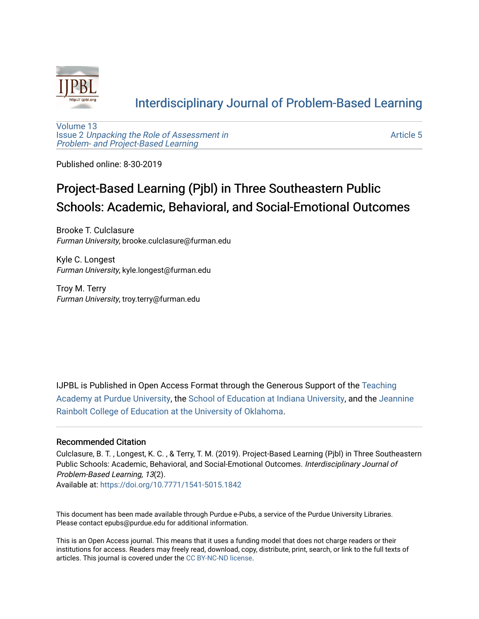

### [Interdisciplinary Journal of Problem-Based Learning](https://docs.lib.purdue.edu/ijpbl)

[Volume 13](https://docs.lib.purdue.edu/ijpbl/vol13) Issue 2 [Unpacking the Role of Assessment in](https://docs.lib.purdue.edu/ijpbl/vol13/iss2)  [Problem- and Project-Based Learning](https://docs.lib.purdue.edu/ijpbl/vol13/iss2)

[Article 5](https://docs.lib.purdue.edu/ijpbl/vol13/iss2/5) 

Published online: 8-30-2019

## Project-Based Learning (Pjbl) in Three Southeastern Public Schools: Academic, Behavioral, and Social-Emotional Outcomes

Brooke T. Culclasure Furman University, brooke.culclasure@furman.edu

Kyle C. Longest Furman University, kyle.longest@furman.edu

Troy M. Terry Furman University, troy.terry@furman.edu

IJPBL is Published in Open Access Format through the Generous Support of the [Teaching](https://www.purdue.edu/cie/aboutus/teachingacademy.html) [Academy at Purdue University](https://www.purdue.edu/cie/aboutus/teachingacademy.html), the [School of Education at Indiana University,](https://education.indiana.edu/index.html) and the [Jeannine](http://ou.edu/education) [Rainbolt College of Education at the University of Oklahoma](http://ou.edu/education).

#### Recommended Citation

Culclasure, B. T. , Longest, K. C. , & Terry, T. M. (2019). Project-Based Learning (Pjbl) in Three Southeastern Public Schools: Academic, Behavioral, and Social-Emotional Outcomes. Interdisciplinary Journal of Problem-Based Learning, 13(2).

Available at:<https://doi.org/10.7771/1541-5015.1842>

This document has been made available through Purdue e-Pubs, a service of the Purdue University Libraries. Please contact epubs@purdue.edu for additional information.

This is an Open Access journal. This means that it uses a funding model that does not charge readers or their institutions for access. Readers may freely read, download, copy, distribute, print, search, or link to the full texts of articles. This journal is covered under the [CC BY-NC-ND license](https://creativecommons.org/licenses/by-nc-nd/4.0/).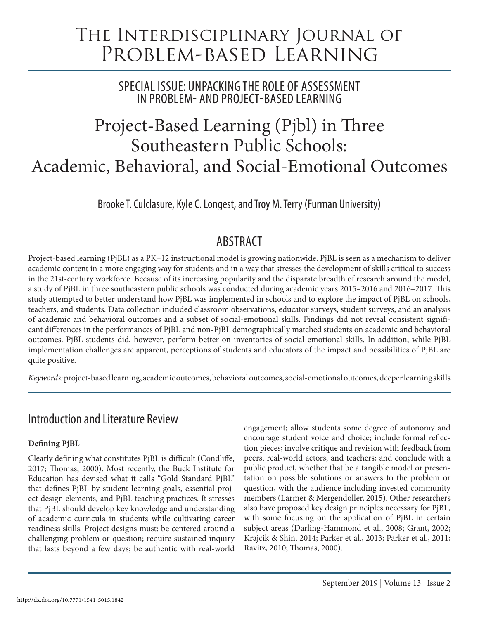# The Interdisciplinary Journal of PROBLEM-BASED LEARNING

SPECIAL ISSUE: UNPACKING THE ROLE OF ASSESSMENT IN PROBLEM- AND PROJECT-BASED LEARNING

# Project-Based Learning (Pjbl) in Three Southeastern Public Schools: Academic, Behavioral, and Social-Emotional Outcomes

Brooke T. Culclasure, Kyle C. Longest, and Troy M. Terry (Furman University)

## **ABSTRACT**

Project-based learning (PjBL) as a PK–12 instructional model is growing nationwide. PjBL is seen as a mechanism to deliver academic content in a more engaging way for students and in a way that stresses the development of skills critical to success in the 21st-century workforce. Because of its increasing popularity and the disparate breadth of research around the model, a study of PjBL in three southeastern public schools was conducted during academic years 2015–2016 and 2016–2017. This study attempted to better understand how PjBL was implemented in schools and to explore the impact of PjBL on schools, teachers, and students. Data collection included classroom observations, educator surveys, student surveys, and an analysis of academic and behavioral outcomes and a subset of social-emotional skills. Findings did not reveal consistent significant differences in the performances of PjBL and non-PjBL demographically matched students on academic and behavioral outcomes. PjBL students did, however, perform better on inventories of social-emotional skills. In addition, while PjBL implementation challenges are apparent, perceptions of students and educators of the impact and possibilities of PjBL are quite positive.

*Keywords:* project-based learning, academic outcomes, behavioral outcomes, social-emotional outcomes, deeper learning skills

### Introduction and Literature Review

### **Defining PjBL**

Clearly defining what constitutes PjBL is difficult (Condliffe, 2017; Thomas, 2000). Most recently, the Buck Institute for Education has devised what it calls "Gold Standard PjBL" that defines PjBL by student learning goals, essential project design elements, and PjBL teaching practices. It stresses that PjBL should develop key knowledge and understanding of academic curricula in students while cultivating career readiness skills. Project designs must: be centered around a challenging problem or question; require sustained inquiry that lasts beyond a few days; be authentic with real-world

engagement; allow students some degree of autonomy and encourage student voice and choice; include formal reflection pieces; involve critique and revision with feedback from peers, real-world actors, and teachers; and conclude with a public product, whether that be a tangible model or presentation on possible solutions or answers to the problem or question, with the audience including invested community members (Larmer & Mergendoller, 2015). Other researchers also have proposed key design principles necessary for PjBL, with some focusing on the application of PjBL in certain subject areas (Darling-Hammond et al., 2008; Grant, 2002; Krajcik & Shin, 2014; Parker et al., 2013; Parker et al., 2011; Ravitz, 2010; Thomas, 2000).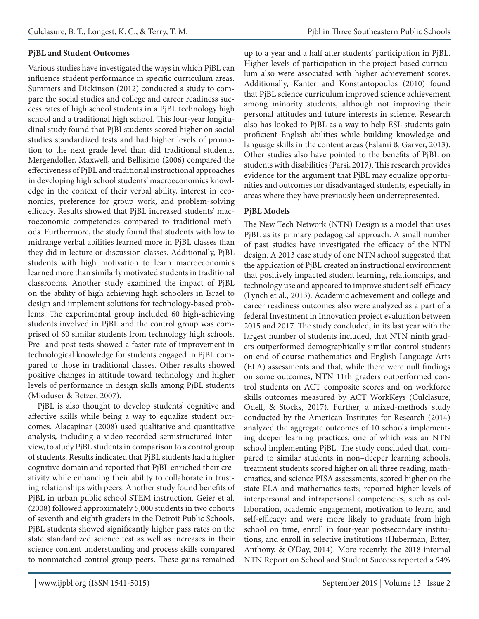#### **PjBL and Student Outcomes**

Various studies have investigated the ways in which PjBL can influence student performance in specific curriculum areas. Summers and Dickinson (2012) conducted a study to compare the social studies and college and career readiness success rates of high school students in a PjBL technology high school and a traditional high school. This four-year longitudinal study found that PjBI students scored higher on social studies standardized tests and had higher levels of promotion to the next grade level than did traditional students. Mergendoller, Maxwell, and Bellisimo (2006) compared the effectiveness of PjBL and traditional instructional approaches in developing high school students' macroeconomics knowledge in the context of their verbal ability, interest in economics, preference for group work, and problem-solving efficacy. Results showed that PjBL increased students' macroeconomic competencies compared to traditional methods. Furthermore, the study found that students with low to midrange verbal abilities learned more in PjBL classes than they did in lecture or discussion classes. Additionally, PjBL students with high motivation to learn macroeconomics learned more than similarly motivated students in traditional classrooms. Another study examined the impact of PjBL on the ability of high achieving high schoolers in Israel to design and implement solutions for technology-based problems. The experimental group included 60 high-achieving students involved in PjBL and the control group was comprised of 60 similar students from technology high schools. Pre- and post-tests showed a faster rate of improvement in technological knowledge for students engaged in PjBL compared to those in traditional classes. Other results showed positive changes in attitude toward technology and higher levels of performance in design skills among PjBL students (Mioduser & Betzer, 2007).

PjBL is also thought to develop students' cognitive and affective skills while being a way to equalize student outcomes. Alacapinar (2008) used qualitative and quantitative analysis, including a video-recorded semistructured interview, to study PjBL students in comparison to a control group of students. Results indicated that PjBL students had a higher cognitive domain and reported that PjBL enriched their creativity while enhancing their ability to collaborate in trusting relationships with peers. Another study found benefits of PjBL in urban public school STEM instruction. Geier et al. (2008) followed approximately 5,000 students in two cohorts of seventh and eighth graders in the Detroit Public Schools. PjBL students showed significantly higher pass rates on the state standardized science test as well as increases in their science content understanding and process skills compared to nonmatched control group peers. These gains remained

up to a year and a half after students' participation in PjBL. Higher levels of participation in the project-based curriculum also were associated with higher achievement scores. Additionally, Kanter and Konstantopoulos (2010) found that PjBL science curriculum improved science achievement among minority students, although not improving their personal attitudes and future interests in science. Research also has looked to PjBL as a way to help ESL students gain proficient English abilities while building knowledge and language skills in the content areas (Eslami & Garver, 2013). Other studies also have pointed to the benefits of PjBL on students with disabilities (Parsi, 2017). This research provides evidence for the argument that PjBL may equalize opportunities and outcomes for disadvantaged students, especially in areas where they have previously been underrepresented.

#### **PjBL Models**

The New Tech Network (NTN) Design is a model that uses PjBL as its primary pedagogical approach. A small number of past studies have investigated the efficacy of the NTN design. A 2013 case study of one NTN school suggested that the application of PjBL created an instructional environment that positively impacted student learning, relationships, and technology use and appeared to improve student self-efficacy (Lynch et al., 2013). Academic achievement and college and career readiness outcomes also were analyzed as a part of a federal Investment in Innovation project evaluation between 2015 and 2017. The study concluded, in its last year with the largest number of students included, that NTN ninth graders outperformed demographically similar control students on end-of-course mathematics and English Language Arts (ELA) assessments and that, while there were null findings on some outcomes, NTN 11th graders outperformed control students on ACT composite scores and on workforce skills outcomes measured by ACT WorkKeys (Culclasure, Odell, & Stocks, 2017). Further, a mixed-methods study conducted by the American Institutes for Research (2014) analyzed the aggregate outcomes of 10 schools implementing deeper learning practices, one of which was an NTN school implementing PjBL. The study concluded that, compared to similar students in non–deeper learning schools, treatment students scored higher on all three reading, mathematics, and science PISA assessments; scored higher on the state ELA and mathematics tests; reported higher levels of interpersonal and intrapersonal competencies, such as collaboration, academic engagement, motivation to learn, and self-efficacy; and were more likely to graduate from high school on time, enroll in four-year postsecondary institutions, and enroll in selective institutions (Huberman, Bitter, Anthony, & O'Day, 2014). More recently, the 2018 internal NTN Report on School and Student Success reported a 94%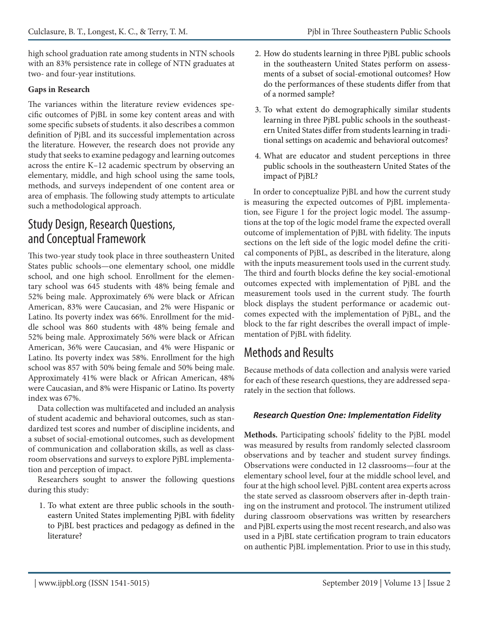high school graduation rate among students in NTN schools with an 83% persistence rate in college of NTN graduates at two- and four-year institutions.

### **Gaps in Research**

The variances within the literature review evidences specific outcomes of PjBL in some key content areas and with some specific subsets of students. it also describes a common definition of PjBL and its successful implementation across the literature. However, the research does not provide any study that seeks to examine pedagogy and learning outcomes across the entire K–12 academic spectrum by observing an elementary, middle, and high school using the same tools, methods, and surveys independent of one content area or area of emphasis. The following study attempts to articulate such a methodological approach.

### Study Design, Research Questions, and Conceptual Framework

This two-year study took place in three southeastern United States public schools—one elementary school, one middle school, and one high school. Enrollment for the elementary school was 645 students with 48% being female and 52% being male. Approximately 6% were black or African American, 83% were Caucasian, and 2% were Hispanic or Latino. Its poverty index was 66%. Enrollment for the middle school was 860 students with 48% being female and 52% being male. Approximately 56% were black or African American, 36% were Caucasian, and 4% were Hispanic or Latino. Its poverty index was 58%. Enrollment for the high school was 857 with 50% being female and 50% being male. Approximately 41% were black or African American, 48% were Caucasian, and 8% were Hispanic or Latino. Its poverty index was 67%.

Data collection was multifaceted and included an analysis of student academic and behavioral outcomes, such as standardized test scores and number of discipline incidents, and a subset of social-emotional outcomes, such as development of communication and collaboration skills, as well as classroom observations and surveys to explore PjBL implementation and perception of impact.

Researchers sought to answer the following questions during this study:

1. To what extent are three public schools in the southeastern United States implementing PjBL with fidelity to PjBL best practices and pedagogy as defined in the literature?

- 2. How do students learning in three PjBL public schools in the southeastern United States perform on assessments of a subset of social-emotional outcomes? How do the performances of these students differ from that of a normed sample?
- 3. To what extent do demographically similar students learning in three PjBL public schools in the southeastern United States differ from students learning in traditional settings on academic and behavioral outcomes?
- 4. What are educator and student perceptions in three public schools in the southeastern United States of the impact of PjBL?

In order to conceptualize PjBL and how the current study is measuring the expected outcomes of PjBL implementation, see Figure 1 for the project logic model. The assumptions at the top of the logic model frame the expected overall outcome of implementation of PjBL with fidelity. The inputs sections on the left side of the logic model define the critical components of PjBL, as described in the literature, along with the inputs measurement tools used in the current study. The third and fourth blocks define the key social-emotional outcomes expected with implementation of PjBL and the measurement tools used in the current study. The fourth block displays the student performance or academic outcomes expected with the implementation of PjBL, and the block to the far right describes the overall impact of implementation of PjBL with fidelity.

### Methods and Results

Because methods of data collection and analysis were varied for each of these research questions, they are addressed separately in the section that follows.

### *Research Question One: Implementation Fidelity*

**Methods.** Participating schools' fidelity to the PjBL model was measured by results from randomly selected classroom observations and by teacher and student survey findings. Observations were conducted in 12 classrooms—four at the elementary school level, four at the middle school level, and four at the high school level. PjBL content area experts across the state served as classroom observers after in-depth training on the instrument and protocol. The instrument utilized during classroom observations was written by researchers and PjBL experts using the most recent research, and also was used in a PjBL state certification program to train educators on authentic PjBL implementation. Prior to use in this study,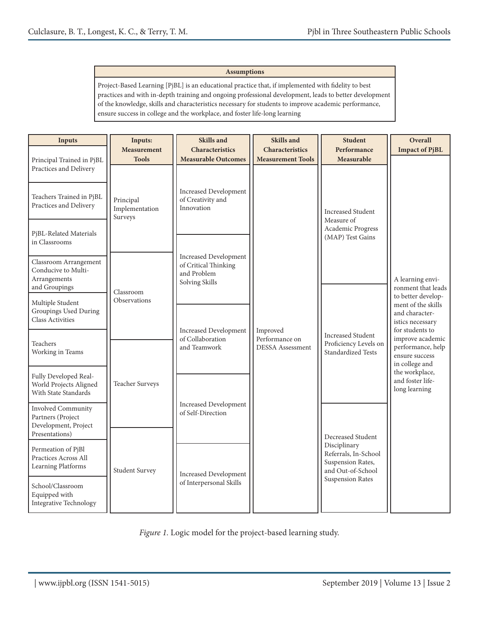#### **Assumptions**

Project-Based Learning [PjBL] is an educational practice that, if implemented with fidelity to best practices and with in-depth training and ongoing professional development, leads to better development of the knowledge, skills and characteristics necessary for students to improve academic performance, ensure success in college and the workplace, and foster life-long learning

| <b>Inputs</b>                                                                     | Inputs:<br><b>Measurement</b>          | <b>Skills and</b><br>Characteristics                                                  | Skills and<br>Characteristics             | <b>Student</b><br>Performance                                                  | Overall<br><b>Impact of PjBL</b>                                                                  |
|-----------------------------------------------------------------------------------|----------------------------------------|---------------------------------------------------------------------------------------|-------------------------------------------|--------------------------------------------------------------------------------|---------------------------------------------------------------------------------------------------|
| Principal Trained in PjBL<br>Practices and Delivery                               | <b>Tools</b>                           | <b>Measurable Outcomes</b>                                                            | <b>Measurement Tools</b>                  | Measurable                                                                     |                                                                                                   |
| Teachers Trained in PjBL<br>Practices and Delivery                                | Principal<br>Implementation<br>Surveys | <b>Increased Development</b><br>of Creativity and<br>Innovation                       |                                           | <b>Increased Student</b><br>Measure of                                         |                                                                                                   |
| PjBL-Related Materials<br>in Classrooms                                           |                                        |                                                                                       |                                           | Academic Progress<br>(MAP) Test Gains                                          |                                                                                                   |
| Classroom Arrangement<br>Conducive to Multi-<br>Arrangements<br>and Groupings     | Classroom                              | <b>Increased Development</b><br>of Critical Thinking<br>and Problem<br>Solving Skills |                                           |                                                                                | A learning envi-<br>ronment that leads                                                            |
| Multiple Student<br><b>Groupings Used During</b><br><b>Class Activities</b>       | Observations                           | <b>Increased Development</b>                                                          | Improved                                  | <b>Increased Student</b>                                                       | to better develop-<br>ment of the skills<br>and character-<br>istics necessary<br>for students to |
| Teachers<br>Working in Teams                                                      |                                        | of Collaboration<br>and Teamwork                                                      | Performance on<br><b>DESSA</b> Assessment | Proficiency Levels on<br><b>Standardized Tests</b>                             | improve academic<br>performance, help<br>ensure success<br>in college and                         |
| Fully Developed Real-<br>World Projects Aligned<br>With State Standards           | <b>Teacher Surveys</b>                 |                                                                                       |                                           |                                                                                | the workplace,<br>and foster life-<br>long learning                                               |
| Involved Community<br>Partners (Project<br>Development, Project<br>Presentations) |                                        | <b>Increased Development</b><br>of Self-Direction                                     |                                           | Decreased Student                                                              |                                                                                                   |
| Permeation of PjBl<br>Practices Across All<br>Learning Platforms                  | <b>Student Survey</b>                  | <b>Increased Development</b>                                                          |                                           | Disciplinary<br>Referrals, In-School<br>Suspension Rates,<br>and Out-of-School |                                                                                                   |
| School/Classroom<br>Equipped with<br>Integrative Technology                       |                                        | of Interpersonal Skills                                                               |                                           | <b>Suspension Rates</b>                                                        |                                                                                                   |

*Figure 1.* Logic model for the project-based learning study.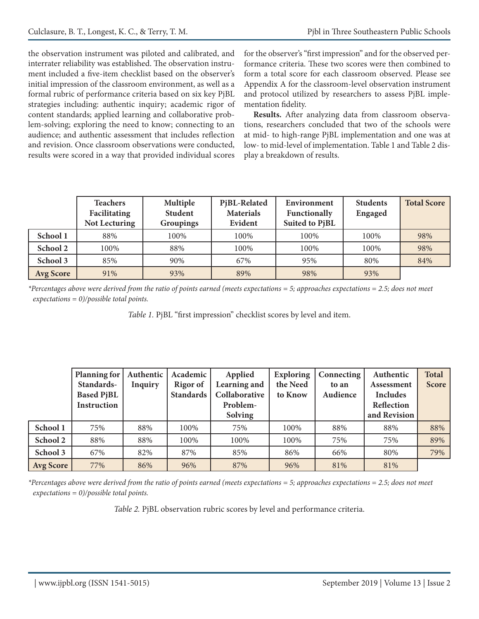the observation instrument was piloted and calibrated, and interrater reliability was established. The observation instrument included a five-item checklist based on the observer's initial impression of the classroom environment, as well as a formal rubric of performance criteria based on six key PjBL strategies including: authentic inquiry; academic rigor of content standards; applied learning and collaborative problem-solving; exploring the need to know; connecting to an audience; and authentic assessment that includes reflection and revision. Once classroom observations were conducted, results were scored in a way that provided individual scores

for the observer's "first impression" and for the observed performance criteria. These two scores were then combined to form a total score for each classroom observed. Please see Appendix A for the classroom-level observation instrument and protocol utilized by researchers to assess PjBL implementation fidelity.

**Results.** After analyzing data from classroom observations, researchers concluded that two of the schools were at mid- to high-range PjBL implementation and one was at low- to mid-level of implementation. Table 1 and Table 2 display a breakdown of results.

|                  | <b>Teachers</b><br>Facilitating<br><b>Not Lecturing</b> | Multiple<br><b>Student</b><br><b>Groupings</b> | PjBL-Related<br><b>Materials</b><br>Evident | Environment<br>Functionally<br>Suited to PjBL | <b>Students</b><br><b>Engaged</b> | <b>Total Score</b> |
|------------------|---------------------------------------------------------|------------------------------------------------|---------------------------------------------|-----------------------------------------------|-----------------------------------|--------------------|
| School 1         | 88%                                                     | 100%                                           | 100%                                        | 100%                                          | 100%                              | 98%                |
| School 2         | 100%                                                    | 88%                                            | 100%                                        | 100%                                          | 100%                              | 98%                |
| School 3         | 85%                                                     | 90%                                            | 67%                                         | 95%                                           | 80%                               | 84%                |
| <b>Avg Score</b> | 91%                                                     | 93%                                            | 89%                                         | 98%                                           | 93%                               |                    |

*\*Percentages above were derived from the ratio of points earned (meets expectations = 5; approaches expectations = 2.5; does not meet expectations = 0)/possible total points.*

*Table 1.* PjBL "first impression" checklist scores by level and item.

|                  | Planning for<br>Standards-<br><b>Based PjBL</b><br>Instruction | Authentic<br><b>Inquiry</b> | Academic<br>Rigor of<br><b>Standards</b> | Applied<br>Learning and<br>Collaborative<br>Problem-<br>Solving | <b>Exploring</b><br>the Need<br>to Know | Connecting<br>to an<br>Audience | Authentic<br>Assessment<br><b>Includes</b><br>Reflection<br>and Revision | <b>Total</b><br><b>Score</b> |
|------------------|----------------------------------------------------------------|-----------------------------|------------------------------------------|-----------------------------------------------------------------|-----------------------------------------|---------------------------------|--------------------------------------------------------------------------|------------------------------|
| School 1         | 75%                                                            | 88%                         | 100%                                     | 75%                                                             | 100%                                    | 88%                             | 88%                                                                      | 88%                          |
| School 2         | 88%                                                            | 88%                         | 100%                                     | 100%                                                            | 100%                                    | 75%                             | 75%                                                                      | 89%                          |
| School 3         | 67%                                                            | 82%                         | 87%                                      | 85%                                                             | 86%                                     | 66%                             | 80%                                                                      | 79%                          |
| <b>Avg Score</b> | 77%                                                            | 86%                         | 96%                                      | 87%                                                             | 96%                                     | 81%                             | 81%                                                                      |                              |

*\*Percentages above were derived from the ratio of points earned (meets expectations = 5; approaches expectations = 2.5; does not meet expectations = 0)/possible total points.*

*Table 2.* PjBL observation rubric scores by level and performance criteria.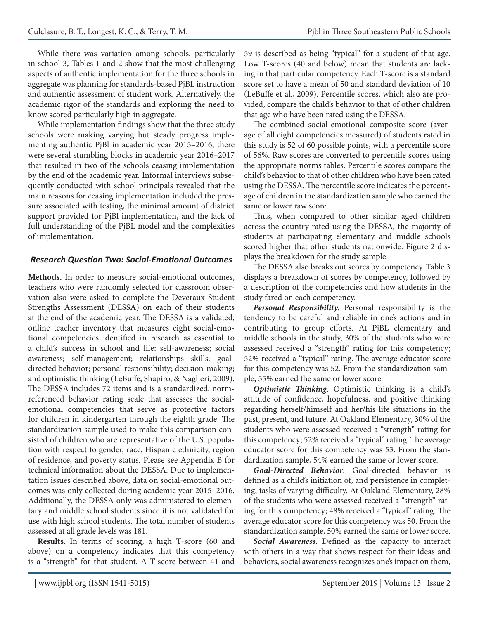While there was variation among schools, particularly in school 3, Tables 1 and 2 show that the most challenging aspects of authentic implementation for the three schools in aggregate was planning for standards-based PjBL instruction and authentic assessment of student work. Alternatively, the academic rigor of the standards and exploring the need to know scored particularly high in aggregate.

While implementation findings show that the three study schools were making varying but steady progress implementing authentic PjBl in academic year 2015–2016, there were several stumbling blocks in academic year 2016–2017 that resulted in two of the schools ceasing implementation by the end of the academic year. Informal interviews subsequently conducted with school principals revealed that the main reasons for ceasing implementation included the pressure associated with testing, the minimal amount of district support provided for PjBl implementation, and the lack of full understanding of the PjBL model and the complexities of implementation.

### *Research Question Two: Social-Emotional Outcomes*

**Methods.** In order to measure social-emotional outcomes, teachers who were randomly selected for classroom observation also were asked to complete the Deveraux Student Strengths Assessment (DESSA) on each of their students at the end of the academic year. The DESSA is a validated, online teacher inventory that measures eight social-emotional competencies identified in research as essential to a child's success in school and life: self-awareness; social awareness; self-management; relationships skills; goaldirected behavior; personal responsibility; decision-making; and optimistic thinking (LeBuffe, Shapiro, & Naglieri, 2009). The DESSA includes 72 items and is a standardized, normreferenced behavior rating scale that assesses the socialemotional competencies that serve as protective factors for children in kindergarten through the eighth grade. The standardization sample used to make this comparison consisted of children who are representative of the U.S. population with respect to gender, race, Hispanic ethnicity, region of residence, and poverty status. Please see Appendix B for technical information about the DESSA. Due to implementation issues described above, data on social-emotional outcomes was only collected during academic year 2015–2016. Additionally, the DESSA only was administered to elementary and middle school students since it is not validated for use with high school students. The total number of students assessed at all grade levels was 181.

**Results.** In terms of scoring, a high T-score (60 and above) on a competency indicates that this competency is a "strength" for that student. A T-score between 41 and 59 is described as being "typical" for a student of that age. Low T-scores (40 and below) mean that students are lacking in that particular competency. Each T-score is a standard score set to have a mean of 50 and standard deviation of 10 (LeBuffe et al., 2009). Percentile scores, which also are provided, compare the child's behavior to that of other children that age who have been rated using the DESSA.

The combined social-emotional composite score (average of all eight competencies measured) of students rated in this study is 52 of 60 possible points, with a percentile score of 56%. Raw scores are converted to percentile scores using the appropriate norms tables. Percentile scores compare the child's behavior to that of other children who have been rated using the DESSA. The percentile score indicates the percentage of children in the standardization sample who earned the same or lower raw score.

Thus, when compared to other similar aged children across the country rated using the DESSA, the majority of students at participating elementary and middle schools scored higher that other students nationwide. Figure 2 displays the breakdown for the study sample.

The DESSA also breaks out scores by competency. Table 3 displays a breakdown of scores by competency, followed by a description of the competencies and how students in the study fared on each competency.

*Personal Responsibility.* Personal responsibility is the tendency to be careful and reliable in one's actions and in contributing to group efforts. At PjBL elementary and middle schools in the study, 30% of the students who were assessed received a "strength" rating for this competency; 52% received a "typical" rating. The average educator score for this competency was 52. From the standardization sample, 55% earned the same or lower score.

*Optimistic Thinking*. Optimistic thinking is a child's attitude of confidence, hopefulness, and positive thinking regarding herself/himself and her/his life situations in the past, present, and future. At Oakland Elementary, 30% of the students who were assessed received a "strength" rating for this competency; 52% received a "typical" rating. The average educator score for this competency was 53. From the standardization sample, 54% earned the same or lower score.

*Goal-Directed Behavior*. Goal-directed behavior is defined as a child's initiation of, and persistence in completing, tasks of varying difficulty. At Oakland Elementary, 28% of the students who were assessed received a "strength" rating for this competency; 48% received a "typical" rating. The average educator score for this competency was 50. From the standardization sample, 50% earned the same or lower score.

*Social Awareness*. Defined as the capacity to interact with others in a way that shows respect for their ideas and behaviors, social awareness recognizes one's impact on them,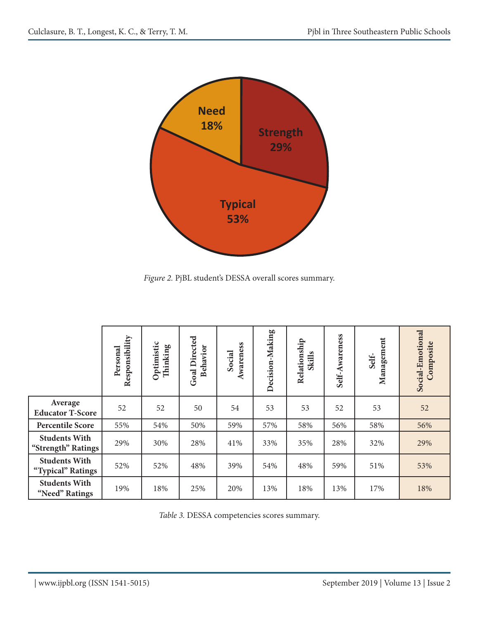

*Figure 2.* PjBL student's DESSA overall scores summary.

|                                            | Responsibility<br>Personal | Optimistic<br>Thinking | <b>Goal Directed</b><br>Behavior | Awareness<br>Social | Decision-Making | Relationship<br><b>Skills</b> | Awareness<br>Self- | Management<br>Self- | Social-Emotional<br>Composite |
|--------------------------------------------|----------------------------|------------------------|----------------------------------|---------------------|-----------------|-------------------------------|--------------------|---------------------|-------------------------------|
| Average<br><b>Educator T-Score</b>         | 52                         | 52                     | 50                               | 54                  | 53              | 53                            | 52                 | 53                  | 52                            |
| <b>Percentile Score</b>                    | 55%                        | 54%                    | 50%                              | 59%                 | 57%             | 58%                           | 56%                | 58%                 | 56%                           |
| <b>Students With</b><br>"Strength" Ratings | 29%                        | 30%                    | 28%                              | 41%                 | 33%             | 35%                           | 28%                | 32%                 | 29%                           |
| <b>Students With</b><br>"Typical" Ratings  | 52%                        | 52%                    | 48%                              | 39%                 | 54%             | 48%                           | 59%                | 51%                 | 53%                           |
| <b>Students With</b><br>"Need" Ratings     | 19%                        | 18%                    | 25%                              | 20%                 | 13%             | 18%                           | 13%                | 17%                 | 18%                           |

*Table 3.* DESSA competencies scores summary.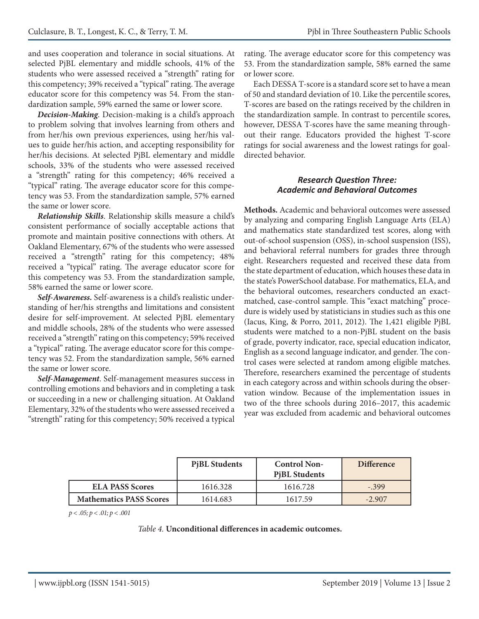and uses cooperation and tolerance in social situations. At selected PjBL elementary and middle schools, 41% of the students who were assessed received a "strength" rating for this competency; 39% received a "typical" rating. The average educator score for this competency was 54. From the standardization sample, 59% earned the same or lower score.

*Decision-Making*. Decision-making is a child's approach to problem solving that involves learning from others and from her/his own previous experiences, using her/his values to guide her/his action, and accepting responsibility for her/his decisions. At selected PjBL elementary and middle schools, 33% of the students who were assessed received a "strength" rating for this competency; 46% received a "typical" rating. The average educator score for this competency was 53. From the standardization sample, 57% earned the same or lower score.

*Relationship Skills*. Relationship skills measure a child's consistent performance of socially acceptable actions that promote and maintain positive connections with others. At Oakland Elementary, 67% of the students who were assessed received a "strength" rating for this competency; 48% received a "typical" rating. The average educator score for this competency was 53. From the standardization sample, 58% earned the same or lower score.

*Self-Awareness.* Self-awareness is a child's realistic understanding of her/his strengths and limitations and consistent desire for self-improvement. At selected PjBL elementary and middle schools, 28% of the students who were assessed received a "strength" rating on this competency; 59% received a "typical" rating. The average educator score for this competency was 52. From the standardization sample, 56% earned the same or lower score.

*Self-Management*. Self-management measures success in controlling emotions and behaviors and in completing a task or succeeding in a new or challenging situation. At Oakland Elementary, 32% of the students who were assessed received a "strength" rating for this competency; 50% received a typical

rating. The average educator score for this competency was 53. From the standardization sample, 58% earned the same or lower score.

Each DESSA T-score is a standard score set to have a mean of 50 and standard deviation of 10. Like the percentile scores, T-scores are based on the ratings received by the children in the standardization sample. In contrast to percentile scores, however, DESSA T-scores have the same meaning throughout their range. Educators provided the highest T-score ratings for social awareness and the lowest ratings for goaldirected behavior.

#### *Research Question Three: Academic and Behavioral Outcomes*

**Methods.** Academic and behavioral outcomes were assessed by analyzing and comparing English Language Arts (ELA) and mathematics state standardized test scores, along with out-of-school suspension (OSS), in-school suspension (ISS), and behavioral referral numbers for grades three through eight. Researchers requested and received these data from the state department of education, which houses these data in the state's PowerSchool database. For mathematics, ELA, and the behavioral outcomes, researchers conducted an exactmatched, case-control sample. This "exact matching" procedure is widely used by statisticians in studies such as this one (Iacus, King, & Porro, 2011, 2012). The 1,421 eligible PjBL students were matched to a non-PjBL student on the basis of grade, poverty indicator, race, special education indicator, English as a second language indicator, and gender. The control cases were selected at random among eligible matches. Therefore, researchers examined the percentage of students in each category across and within schools during the observation window. Because of the implementation issues in two of the three schools during 2016–2017, this academic year was excluded from academic and behavioral outcomes

|                                | <b>PiBL Students</b> | <b>Control Non-</b><br><b>PiBL Students</b> | <b>Difference</b> |
|--------------------------------|----------------------|---------------------------------------------|-------------------|
| <b>ELA PASS Scores</b>         | 1616.328             | 1616.728                                    | $-399$            |
| <b>Mathematics PASS Scores</b> | 1614.683             | 1617.59                                     | $-2.907$          |

*p < .05; p < .01; p < .001*

*Table 4.* **Unconditional differences in academic outcomes.**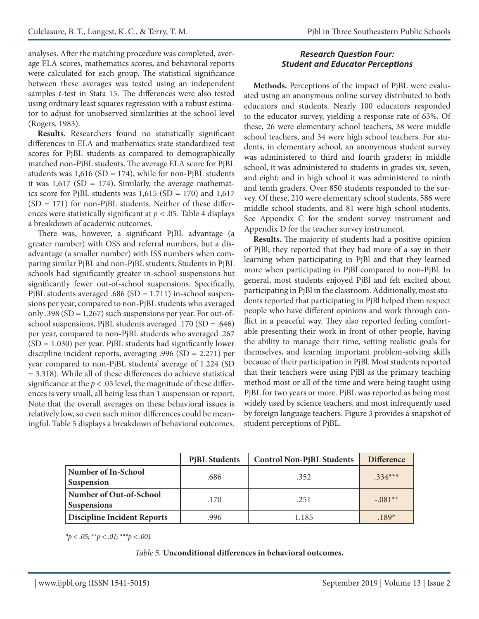analyses. After the matching procedure was completed, average ELA scores, mathematics scores, and behavioral reports were calculated for each group. The statistical significance between these averages was tested using an independent samples *t*-test in Stata 15. The differences were also tested using ordinary least squares regression with a robust estimator to adjust for unobserved similarities at the school level (Rogers, 1983).

**Results.** Researchers found no statistically significant differences in ELA and mathematics state standardized test scores for PjBL students as compared to demographically matched non-PjBL students. The average ELA score for PjBL students was  $1,616$  (SD = 174), while for non-PjBL students it was  $1,617$  (SD = 174). Similarly, the average mathematics score for PjBL students was 1,615 (SD = 170) and 1,617  $(SD = 171)$  for non-PjBL students. Neither of these differences were statistically significant at *p* < .05. Table 4 displays a breakdown of academic outcomes.

There was, however, a significant PjBL advantage (a greater number) with OSS and referral numbers, but a disadvantage (a smaller number) with ISS numbers when comparing similar PjBL and non-PjBL students. Students in PjBL schools had significantly greater in-school suspensions but significantly fewer out-of-school suspensions. Specifically, PjBL students averaged .686 (SD =  $1.711$ ) in-school suspensions per year, compared to non-PjBL students who averaged only .398 ( $SD = 1.267$ ) such suspensions per year. For out-ofschool suspensions, PjBL students averaged .170 (SD = .646) per year, compared to non-PjBL students who averaged .267  $(SD = 1.030)$  per year. PjBL students had significantly lower discipline incident reports, averaging .996 (SD = 2.271) per year compared to non-PjBL students' average of 1.224 (SD = 3.318). While all of these differences do achieve statistical significance at the  $p < 0.05$  level, the magnitude of these differences is very small, all being less than 1 suspension or report. Note that the overall averages on these behavioral issues is relatively low, so even such minor differences could be meaningful. Table 5 displays a breakdown of behavioral outcomes.

### *Research Question Four: Student and Educator Perceptions*

**Methods.** Perceptions of the impact of PjBL were evaluated using an anonymous online survey distributed to both educators and students. Nearly 100 educators responded to the educator survey, yielding a response rate of 63%. Of these, 26 were elementary school teachers, 38 were middle school teachers, and 34 were high school teachers. For students, in elementary school, an anonymous student survey was administered to third and fourth graders; in middle school, it was administered to students in grades six, seven, and eight; and in high school it was administered to ninth and tenth graders. Over 850 students responded to the survey. Of these, 210 were elementary school students, 586 were middle school students, and 81 were high school students. See Appendix C for the student survey instrument and Appendix D for the teacher survey instrument.

**Results.** The majority of students had a positive opinion of PjBl; they reported that they had more of a say in their learning when participating in PjBl and that they learned more when participating in PjBl compared to non-PjBl. In general, most students enjoyed PjBl and felt excited about participating in PjBl in the classroom. Additionally, most students reported that participating in PjBl helped them respect people who have different opinions and work through conflict in a peaceful way. They also reported feeling comfortable presenting their work in front of other people, having the ability to manage their time, setting realistic goals for themselves, and learning important problem-solving skills because of their participation in PjBl. Most students reported that their teachers were using PjBl as the primary teaching method most or all of the time and were being taught using PjBL for two years or more. PjBL was reported as being most widely used by science teachers, and most infrequently used by foreign language teachers. Figure 3 provides a snapshot of student perceptions of PjBL.

|                                                 | <b>PiBL Students</b> | <b>Control Non-PiBL Students</b> | <b>Difference</b> |
|-------------------------------------------------|----------------------|----------------------------------|-------------------|
| <b>Number of In-School</b><br><b>Suspension</b> | .686                 | .352                             | $.334***$         |
| Number of Out-of-School<br><b>Suspensions</b>   | .170                 | .251                             | $-.081**$         |
| Discipline Incident Reports                     | .996                 | 1.185                            | $.189*$           |

*\*p < .05; \*\*p < .01; \*\*\*p < .001*

#### *Table 5.* **Unconditional differences in behavioral outcomes.**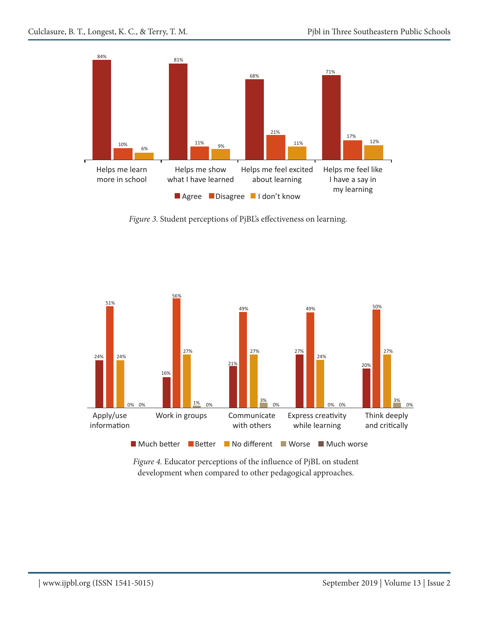

*Figure 3.* Student perceptions of PjBL's effectiveness on learning.



*Figure 4.* Educator perceptions of the influence of PjBL on student development when compared to other pedagogical approaches.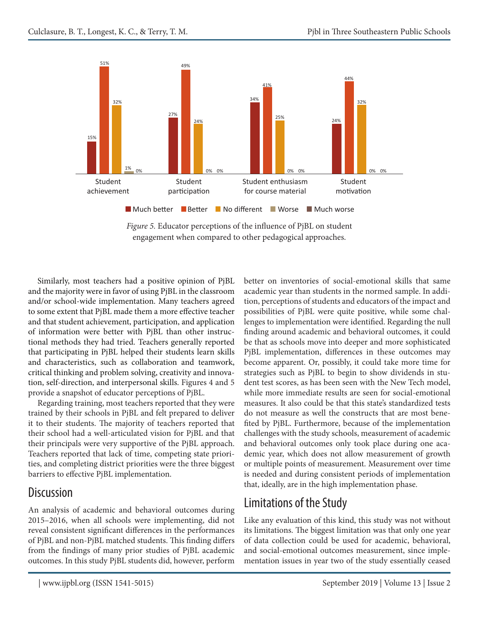

*Figure 5.* Educator perceptions of the influence of PjBL on student engagement when compared to other pedagogical approaches.

Similarly, most teachers had a positive opinion of PjBL and the majority were in favor of using PjBL in the classroom and/or school-wide implementation. Many teachers agreed to some extent that PjBL made them a more effective teacher and that student achievement, participation, and application of information were better with PjBL than other instructional methods they had tried. Teachers generally reported that participating in PjBL helped their students learn skills and characteristics, such as collaboration and teamwork, critical thinking and problem solving, creativity and innovation, self-direction, and interpersonal skills. Figures 4 and 5 provide a snapshot of educator perceptions of PjBL.

Regarding training, most teachers reported that they were trained by their schools in PjBL and felt prepared to deliver it to their students. The majority of teachers reported that their school had a well-articulated vision for PjBL and that their principals were very supportive of the PjBL approach. Teachers reported that lack of time, competing state priorities, and completing district priorities were the three biggest barriers to effective PjBL implementation.

### **Discussion**

An analysis of academic and behavioral outcomes during 2015–2016, when all schools were implementing, did not reveal consistent significant differences in the performances of PjBL and non-PjBL matched students. This finding differs from the findings of many prior studies of PjBL academic outcomes. In this study PjBL students did, however, perform better on inventories of social-emotional skills that same academic year than students in the normed sample. In addition, perceptions of students and educators of the impact and possibilities of PjBL were quite positive, while some challenges to implementation were identified. Regarding the null finding around academic and behavioral outcomes, it could be that as schools move into deeper and more sophisticated PjBL implementation, differences in these outcomes may become apparent. Or, possibly, it could take more time for strategies such as PjBL to begin to show dividends in student test scores, as has been seen with the New Tech model, while more immediate results are seen for social-emotional measures. It also could be that this state's standardized tests do not measure as well the constructs that are most benefited by PjBL. Furthermore, because of the implementation challenges with the study schools, measurement of academic and behavioral outcomes only took place during one academic year, which does not allow measurement of growth or multiple points of measurement. Measurement over time is needed and during consistent periods of implementation that, ideally, are in the high implementation phase.

### Limitations of the Study

Like any evaluation of this kind, this study was not without its limitations. The biggest limitation was that only one year of data collection could be used for academic, behavioral, and social-emotional outcomes measurement, since implementation issues in year two of the study essentially ceased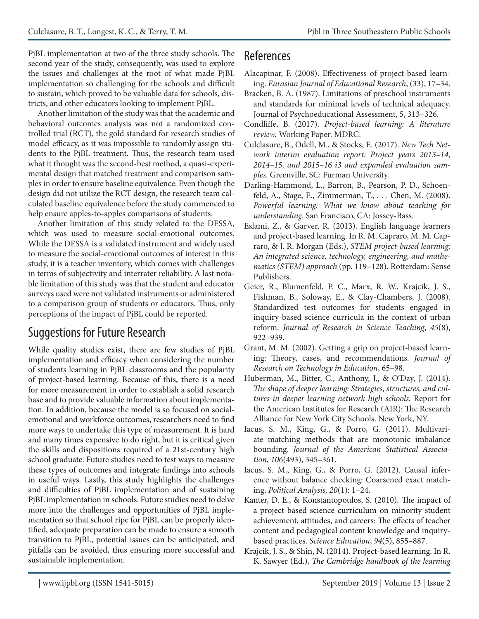PjBL implementation at two of the three study schools. The second year of the study, consequently, was used to explore the issues and challenges at the root of what made PjBL implementation so challenging for the schools and difficult to sustain, which proved to be valuable data for schools, districts, and other educators looking to implement PjBL.

Another limitation of the study was that the academic and behavioral outcomes analysis was not a randomized controlled trial (RCT), the gold standard for research studies of model efficacy, as it was impossible to randomly assign students to the PjBL treatment. Thus, the research team used what it thought was the second-best method, a quasi-experimental design that matched treatment and comparison samples in order to ensure baseline equivalence. Even though the design did not utilize the RCT design, the research team calculated baseline equivalence before the study commenced to help ensure apples-to-apples comparisons of students.

Another limitation of this study related to the DESSA, which was used to measure social-emotional outcomes. While the DESSA is a validated instrument and widely used to measure the social-emotional outcomes of interest in this study, it is a teacher inventory, which comes with challenges in terms of subjectivity and interrater reliability. A last notable limitation of this study was that the student and educator surveys used were not validated instruments or administered to a comparison group of students or educators. Thus, only perceptions of the impact of PjBL could be reported.

### Suggestions for Future Research

While quality studies exist, there are few studies of PjBL implementation and efficacy when considering the number of students learning in PjBL classrooms and the popularity of project-based learning. Because of this, there is a need for more measurement in order to establish a solid research base and to provide valuable information about implementation. In addition, because the model is so focused on socialemotional and workforce outcomes, researchers need to find more ways to undertake this type of measurement. It is hard and many times expensive to do right, but it is critical given the skills and dispositions required of a 21st-century high school graduate. Future studies need to test ways to measure these types of outcomes and integrate findings into schools in useful ways. Lastly, this study highlights the challenges and difficulties of PjBL implementation and of sustaining PjBL implementation in schools. Future studies need to delve more into the challenges and opportunities of PjBL implementation so that school ripe for PjBL can be properly identified, adequate preparation can be made to ensure a smooth transition to PjBL, potential issues can be anticipated, and pitfalls can be avoided, thus ensuring more successful and sustainable implementation.

### **References**

- Alacapinar, F. (2008). Effectiveness of project-based learning. *Eurasian Journal of Educational Research*, (33), 17–34.
- Bracken, B. A. (1987). Limitations of preschool instruments and standards for minimal levels of technical adequacy. Journal of Psychoeducational Assessment, 5, 313–326.
- Condliffe, B. (2017). *Project-based learning: A literature review.* Working Paper. MDRC.
- Culclasure, B., Odell, M., & Stocks, E. (2017). *New Tech Network interim evaluation report: Project years 2013–14, 2014–15, and 2015–16 i3 and expanded evaluation samples*. Greenville, SC: Furman University.
- Darling-Hammond, L., Barron, B., Pearson, P. D., Schoenfeld, A., Stage, E., Zimmerman, T., . . . Chen, M. (2008). *Powerful learning: What we know about teaching for understanding*. San Francisco, CA: Jossey-Bass.
- Eslami, Z., & Garver, R. (2013). English language learners and project-based learning. In R. M. Capraro, M. M. Capraro, & J. R. Morgan (Eds.), *STEM project-based learning: An integrated science, technology, engineering, and mathematics (STEM) approach* (pp. 119–128). Rotterdam: Sense Publishers.
- Geier, R., Blumenfeld, P. C., Marx, R. W., Krajcik, J. S., Fishman, B., Soloway, E., & Clay-Chambers, J. (2008). Standardized test outcomes for students engaged in inquiry-based science curricula in the context of urban reform. *Journal of Research in Science Teaching*, *45*(8), 922–939.
- Grant, M. M. (2002). Getting a grip on project-based learning: Theory, cases, and recommendations. *Journal of Research on Technology in Education*, 65–98.
- Huberman, M., Bitter, C., Anthony, J., & O'Day, J. (2014). *The shape of deeper learning: Strategies, structures, and cultures in deeper learning network high schools.* Report for the American Institutes for Research (AIR): The Research Alliance for New York City Schools. New York, NY.
- Iacus, S. M., King, G., & Porro, G. (2011). Multivariate matching methods that are monotonic imbalance bounding. *Journal of the American Statistical Association*, *106*(493), 345–361.
- Iacus, S. M., King, G., & Porro, G. (2012). Causal inference without balance checking: Coarsened exact matching. *Political Analysis, 20*(1): 1–24.
- Kanter, D. E., & Konstantopoulos, S. (2010). The impact of a project-based science curriculum on minority student achievement, attitudes, and careers: The effects of teacher content and pedagogical content knowledge and inquirybased practices. *Science Education*, *94*(5), 855–887.
- Krajcik, J. S., & Shin, N. (2014). Project-based learning. In R. K. Sawyer (Ed.), *The Cambridge handbook of the learning*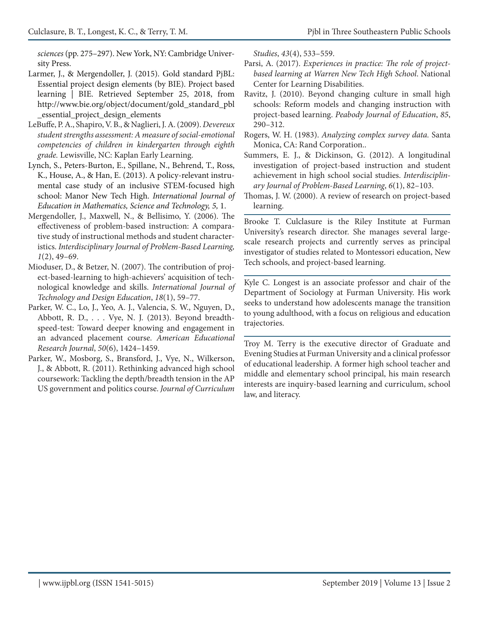*sciences* (pp. 275–297). New York, NY: Cambridge University Press.

- Larmer, J., & Mergendoller, J. (2015). Gold standard PjBL: Essential project design elements (by BIE). Project based learning | BIE. Retrieved September 25, 2018, from http://www.bie.org/object/document/gold\_standard\_pbl \_essential\_project\_design\_elements
- LeBuffe, P. A., Shapiro, V. B., & Naglieri, J. A. (2009). *Devereux student strengths assessment: A measure of social-emotional competencies of children in kindergarten through eighth grade.* Lewisville, NC: Kaplan Early Learning.
- Lynch, S., Peters-Burton, E., Spillane, N., Behrend, T., Ross, K., House, A., & Han, E. (2013). A policy-relevant instrumental case study of an inclusive STEM-focused high school: Manor New Tech High. *International Journal of Education in Mathematics, Science and Technology, 5,* 1.
- Mergendoller, J., Maxwell, N., & Bellisimo, Y. (2006). The effectiveness of problem-based instruction: A comparative study of instructional methods and student characteristics. *Interdisciplinary Journal of Problem-Based Learning, 1*(2), 49–69.
- Mioduser, D., & Betzer, N. (2007). The contribution of project-based-learning to high-achievers' acquisition of technological knowledge and skills. *International Journal of Technology and Design Education*, *18*(1), 59–77.
- Parker, W. C., Lo, J., Yeo, A. J., Valencia, S. W., Nguyen, D., Abbott, R. D., . . . Vye, N. J. (2013). Beyond breadthspeed-test: Toward deeper knowing and engagement in an advanced placement course. *American Educational Research Journal*, *50*(6), 1424–1459.
- Parker, W., Mosborg, S., Bransford, J., Vye, N., Wilkerson, J., & Abbott, R. (2011). Rethinking advanced high school coursework: Tackling the depth/breadth tension in the AP US government and politics course. *Journal of Curriculum*

*Studies*, *43*(4), 533–559.

- Parsi, A. (2017). *Experiences in practice: The role of projectbased learning at Warren New Tech High School*. National Center for Learning Disabilities.
- Ravitz, J. (2010). Beyond changing culture in small high schools: Reform models and changing instruction with project-based learning. *Peabody Journal of Education*, *85*, 290–312.
- Rogers, W. H. (1983). *Analyzing complex survey data.* Santa Monica, CA: Rand Corporation..
- Summers, E. J., & Dickinson, G. (2012). A longitudinal investigation of project-based instruction and student achievement in high school social studies. *Interdisciplinary Journal of Problem-Based Learning*, *6*(1), 82–103.
- Thomas, J. W. (2000). A review of research on project-based learning.

Brooke T. Culclasure is the Riley Institute at Furman University's research director. She manages several largescale research projects and currently serves as principal investigator of studies related to Montessori education, New Tech schools, and project-based learning.

Kyle C. Longest is an associate professor and chair of the Department of Sociology at Furman University. His work seeks to understand how adolescents manage the transition to young adulthood, with a focus on religious and education trajectories.

Troy M. Terry is the executive director of Graduate and Evening Studies at Furman University and a clinical professor of educational leadership. A former high school teacher and middle and elementary school principal, his main research interests are inquiry-based learning and curriculum, school law, and literacy.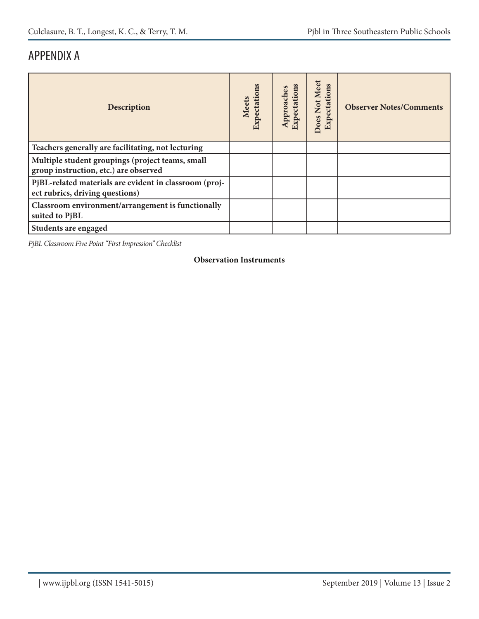### APPENDIX A

| Description                                                                               | Expectations<br><b>Meets</b> | Approaches<br>Expectation | Does Not Meet<br>Expectations | <b>Observer Notes/Comments</b> |
|-------------------------------------------------------------------------------------------|------------------------------|---------------------------|-------------------------------|--------------------------------|
| Teachers generally are facilitating, not lecturing                                        |                              |                           |                               |                                |
| Multiple student groupings (project teams, small<br>group instruction, etc.) are observed |                              |                           |                               |                                |
| PjBL-related materials are evident in classroom (proj-<br>ect rubrics, driving questions) |                              |                           |                               |                                |
| Classroom environment/arrangement is functionally<br>suited to PjBL                       |                              |                           |                               |                                |
| Students are engaged                                                                      |                              |                           |                               |                                |

*PjBL Classroom Five Point "First Impression" Checklist*

#### **Observation Instruments**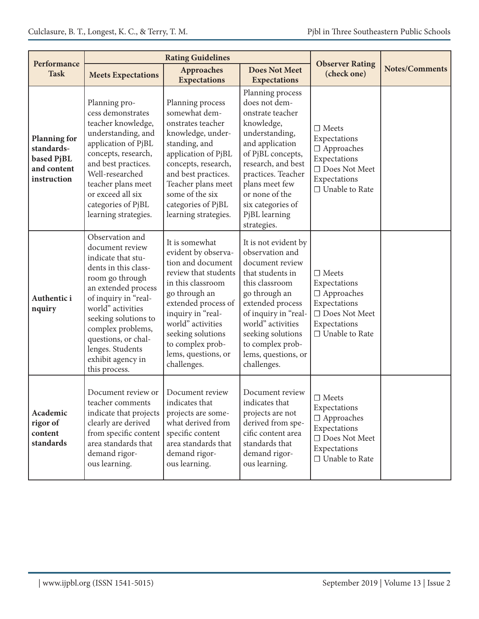| Performance                                                                   |                                                                                                                                                                                                                                                                                                       |                                                                                                                                                                                                                                                                                                                                                                                                                                           | <b>Observer Rating</b>                                                                                                                               |                                                                                                                                                                                                                                                                                                                                                                            |                       |
|-------------------------------------------------------------------------------|-------------------------------------------------------------------------------------------------------------------------------------------------------------------------------------------------------------------------------------------------------------------------------------------------------|-------------------------------------------------------------------------------------------------------------------------------------------------------------------------------------------------------------------------------------------------------------------------------------------------------------------------------------------------------------------------------------------------------------------------------------------|------------------------------------------------------------------------------------------------------------------------------------------------------|----------------------------------------------------------------------------------------------------------------------------------------------------------------------------------------------------------------------------------------------------------------------------------------------------------------------------------------------------------------------------|-----------------------|
| <b>Task</b>                                                                   | <b>Meets Expectations</b>                                                                                                                                                                                                                                                                             | Approaches<br><b>Expectations</b>                                                                                                                                                                                                                                                                                                                                                                                                         | <b>Does Not Meet</b><br><b>Expectations</b>                                                                                                          | (check one)                                                                                                                                                                                                                                                                                                                                                                | <b>Notes/Comments</b> |
| <b>Planning for</b><br>standards-<br>based PjBL<br>and content<br>instruction | Planning pro-<br>cess demonstrates<br>teacher knowledge,<br>understanding, and<br>application of PjBL<br>concepts, research,<br>and best practices.<br>Well-researched<br>teacher plans meet<br>or exceed all six<br>categories of PjBL<br>learning strategies.                                       | Planning process<br>Planning process<br>somewhat dem-<br>onstrates teacher<br>knowledge, under-<br>standing, and<br>application of PjBL<br>concepts, research,<br>and best practices.<br>Teacher plans meet<br>some of the six<br>categories of PjBL<br>learning strategies.                                                                                                                                                              |                                                                                                                                                      | does not dem-<br>onstrate teacher<br>knowledge,<br>$\Box$ Meets<br>understanding,<br>Expectations<br>and application<br>$\Box$ Approaches<br>of PjBL concepts,<br>Expectations<br>research, and best<br>□ Does Not Meet<br>practices. Teacher<br>Expectations<br>plans meet few<br>□ Unable to Rate<br>or none of the<br>six categories of<br>PjBL learning<br>strategies. |                       |
| Authentic i<br>nquiry                                                         | Observation and<br>document review<br>indicate that stu-<br>dents in this class-<br>room go through<br>an extended process<br>of inquiry in "real-<br>world" activities<br>seeking solutions to<br>complex problems,<br>questions, or chal-<br>lenges. Students<br>exhibit agency in<br>this process. | It is somewhat<br>It is not evident by<br>evident by observa-<br>observation and<br>tion and document<br>review that students<br>that students in<br>in this classroom<br>this classroom<br>go through an<br>go through an<br>extended process of<br>extended process<br>inquiry in "real-<br>world" activities<br>seeking solutions<br>to complex prob-<br>to complex prob-<br>lems, questions, or<br>lems, questions, or<br>challenges. |                                                                                                                                                      | $\Box$ Meets<br>Expectations<br>$\Box$ Approaches<br>Expectations<br>$\Box$ Does Not Meet<br>Expectations<br>□ Unable to Rate                                                                                                                                                                                                                                              |                       |
| Academic<br>rigor of<br>content<br>standards                                  | Document review or<br>teacher comments<br>indicate that projects<br>clearly are derived<br>from specific content<br>area standards that<br>demand rigor-<br>ous learning.                                                                                                                             | Document review<br>indicates that<br>projects are some-<br>what derived from<br>specific content<br>area standards that<br>demand rigor-<br>ous learning.                                                                                                                                                                                                                                                                                 | Document review<br>indicates that<br>projects are not<br>derived from spe-<br>cific content area<br>standards that<br>demand rigor-<br>ous learning. | $\Box$ Meets<br>Expectations<br>$\Box$ Approaches<br>Expectations<br>$\Box$ Does Not Meet<br>Expectations<br>□ Unable to Rate                                                                                                                                                                                                                                              |                       |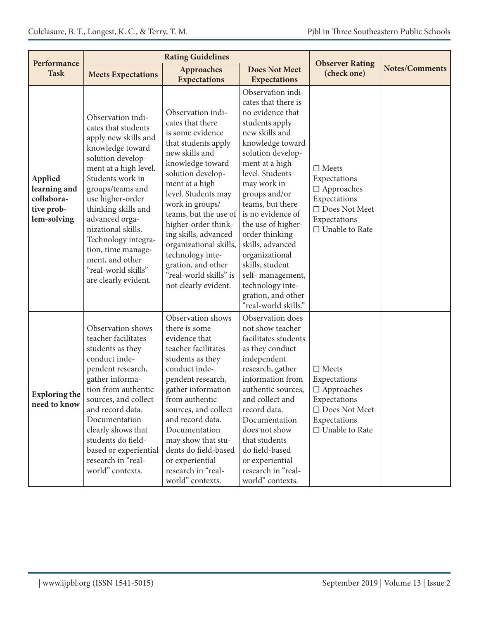|                                                                    |                                                                                                                                                                                                                                                                                                                                                                              | <b>Rating Guidelines</b>                                                                                                                                                                                                                                                                                                                                                                              |                                                                                                                                                                                                                                                                                                                                                                                                                                                |                                                                                                                                    |                       |
|--------------------------------------------------------------------|------------------------------------------------------------------------------------------------------------------------------------------------------------------------------------------------------------------------------------------------------------------------------------------------------------------------------------------------------------------------------|-------------------------------------------------------------------------------------------------------------------------------------------------------------------------------------------------------------------------------------------------------------------------------------------------------------------------------------------------------------------------------------------------------|------------------------------------------------------------------------------------------------------------------------------------------------------------------------------------------------------------------------------------------------------------------------------------------------------------------------------------------------------------------------------------------------------------------------------------------------|------------------------------------------------------------------------------------------------------------------------------------|-----------------------|
| Performance<br><b>Task</b>                                         | <b>Meets Expectations</b>                                                                                                                                                                                                                                                                                                                                                    | Approaches<br><b>Expectations</b>                                                                                                                                                                                                                                                                                                                                                                     | <b>Does Not Meet</b><br><b>Expectations</b>                                                                                                                                                                                                                                                                                                                                                                                                    | <b>Observer Rating</b><br>(check one)                                                                                              | <b>Notes/Comments</b> |
| Applied<br>learning and<br>collabora-<br>tive prob-<br>lem-solving | Observation indi-<br>cates that students<br>apply new skills and<br>knowledge toward<br>solution develop-<br>ment at a high level.<br>Students work in<br>groups/teams and<br>use higher-order<br>thinking skills and<br>advanced orga-<br>nizational skills.<br>Technology integra-<br>tion, time manage-<br>ment, and other<br>"real-world skills"<br>are clearly evident. | Observation indi-<br>cates that there<br>is some evidence<br>that students apply<br>new skills and<br>knowledge toward<br>solution develop-<br>ment at a high<br>level. Students may<br>work in groups/<br>teams, but the use of<br>higher-order think-<br>ing skills, advanced<br>organizational skills,<br>technology inte-<br>gration, and other<br>"real-world skills" is<br>not clearly evident. | Observation indi-<br>cates that there is<br>no evidence that<br>students apply<br>new skills and<br>knowledge toward<br>solution develop-<br>ment at a high<br>level. Students<br>may work in<br>groups and/or<br>teams, but there<br>is no evidence of<br>the use of higher-<br>order thinking<br>skills, advanced<br>organizational<br>skills, student<br>self-management,<br>technology inte-<br>gration, and other<br>"real-world skills." | $\Box$ Meets<br>Expectations<br>$\Box$ Approaches<br>Expectations<br>$\Box$ Does Not Meet<br>Expectations<br>$\Box$ Unable to Rate |                       |
| <b>Exploring the</b><br>need to know                               | Observation shows<br>teacher facilitates<br>students as they<br>conduct inde-<br>pendent research,<br>gather informa-<br>tion from authentic<br>sources, and collect<br>and record data.<br>Documentation<br>clearly shows that<br>students do field-<br>based or experiential<br>research in "real-<br>world" contexts.                                                     | Observation shows<br>there is some<br>evidence that<br>teacher facilitates<br>students as they<br>conduct inde-<br>pendent research,<br>gather information<br>from authentic<br>sources, and collect<br>and record data.<br>Documentation<br>may show that stu-<br>dents do field-based<br>or experiential<br>research in "real-<br>world" contexts.                                                  | Observation does<br>not show teacher<br>facilitates students<br>as they conduct<br>independent<br>research, gather<br>information from<br>authentic sources,<br>and collect and<br>record data.<br>Documentation<br>does not show<br>that students<br>do field-based<br>or experiential<br>research in "real-<br>world" contexts.                                                                                                              | $\Box$ Meets<br>Expectations<br>$\Box$ Approaches<br>Expectations<br>$\Box$ Does Not Meet<br>Expectations<br>$\Box$ Unable to Rate |                       |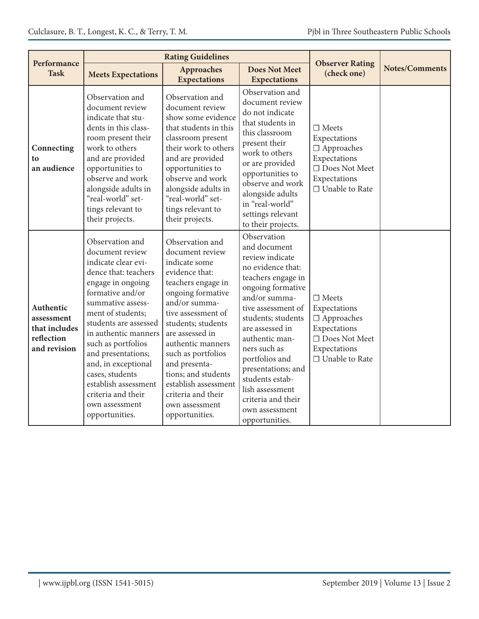| Performance                                                            |                                                                                                                                                                                                                                                                                                                                                                                               |                                                                                                                                                                                                                                                                                                                                                                       |                                                                                                                                                                                                                                                                                                                                                                          |                                                                                                                                    |                       |
|------------------------------------------------------------------------|-----------------------------------------------------------------------------------------------------------------------------------------------------------------------------------------------------------------------------------------------------------------------------------------------------------------------------------------------------------------------------------------------|-----------------------------------------------------------------------------------------------------------------------------------------------------------------------------------------------------------------------------------------------------------------------------------------------------------------------------------------------------------------------|--------------------------------------------------------------------------------------------------------------------------------------------------------------------------------------------------------------------------------------------------------------------------------------------------------------------------------------------------------------------------|------------------------------------------------------------------------------------------------------------------------------------|-----------------------|
| <b>Task</b>                                                            | <b>Meets Expectations</b>                                                                                                                                                                                                                                                                                                                                                                     | <b>Approaches</b><br><b>Expectations</b>                                                                                                                                                                                                                                                                                                                              | <b>Does Not Meet</b><br><b>Expectations</b>                                                                                                                                                                                                                                                                                                                              | <b>Observer Rating</b><br>(check one)                                                                                              | <b>Notes/Comments</b> |
| Connecting<br>to<br>an audience                                        | Observation and<br>document review<br>indicate that stu-<br>dents in this class-<br>room present their<br>work to others<br>and are provided<br>opportunities to<br>observe and work<br>alongside adults in<br>"real-world" set-<br>tings relevant to<br>their projects.                                                                                                                      | Observation and<br>document review<br>show some evidence<br>that students in this<br>classroom present<br>their work to others<br>and are provided<br>opportunities to<br>observe and work<br>alongside adults in<br>"real-world" set-<br>tings relevant to<br>their projects.                                                                                        | Observation and<br>document review<br>do not indicate<br>that students in<br>this classroom<br>present their<br>work to others<br>or are provided<br>opportunities to<br>observe and work<br>alongside adults<br>in "real-world"<br>settings relevant<br>to their projects.                                                                                              | $\Box$ Meets<br>Expectations<br>$\Box$ Approaches<br>Expectations<br>$\Box$ Does Not Meet<br>Expectations<br>$\Box$ Unable to Rate |                       |
| Authentic<br>assessment<br>that includes<br>reflection<br>and revision | Observation and<br>document review<br>indicate clear evi-<br>dence that: teachers<br>engage in ongoing<br>formative and/or<br>summative assess-<br>ment of students;<br>students are assessed<br>in authentic manners<br>such as portfolios<br>and presentations;<br>and, in exceptional<br>cases, students<br>establish assessment<br>criteria and their<br>own assessment<br>opportunities. | Observation and<br>document review<br>indicate some<br>evidence that:<br>teachers engage in<br>ongoing formative<br>and/or summa-<br>tive assessment of<br>students; students<br>are assessed in<br>authentic manners<br>such as portfolios<br>and presenta-<br>tions; and students<br>establish assessment<br>criteria and their<br>own assessment<br>opportunities. | Observation<br>and document<br>review indicate<br>no evidence that:<br>teachers engage in<br>ongoing formative<br>and/or summa-<br>tive assessment of<br>students; students<br>are assessed in<br>authentic man-<br>ners such as<br>portfolios and<br>presentations; and<br>students estab-<br>lish assessment<br>criteria and their<br>own assessment<br>opportunities. | $\Box$ Meets<br>Expectations<br>$\Box$ Approaches<br>Expectations<br>$\Box$ Does Not Meet<br>Expectations<br>□ Unable to Rate      |                       |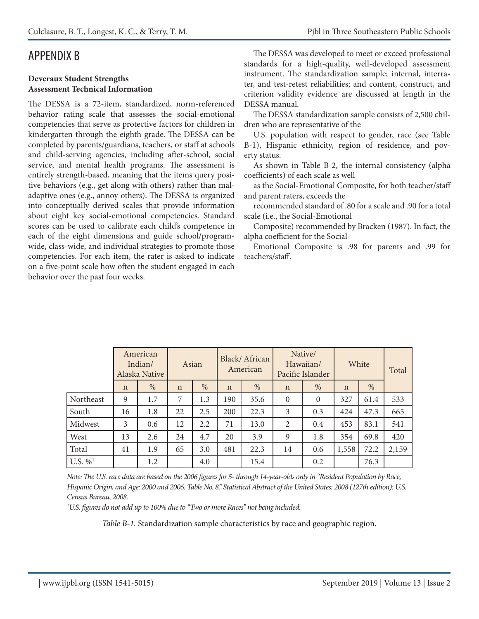### APPENDIX B

#### **Deveraux Student Strengths Assessment Technical Information**

The DESSA is a 72-item, standardized, norm-referenced behavior rating scale that assesses the social-emotional competencies that serve as protective factors for children in kindergarten through the eighth grade. The DESSA can be completed by parents/guardians, teachers, or staff at schools and child-serving agencies, including after-school, social service, and mental health programs. The assessment is entirely strength-based, meaning that the items query positive behaviors (e.g., get along with others) rather than maladaptive ones (e.g., annoy others). The DESSA is organized into conceptually derived scales that provide information about eight key social-emotional competencies. Standard scores can be used to calibrate each child's competence in each of the eight dimensions and guide school/programwide, class-wide, and individual strategies to promote those competencies. For each item, the rater is asked to indicate on a five-point scale how often the student engaged in each behavior over the past four weeks.

The DESSA was developed to meet or exceed professional standards for a high-quality, well-developed assessment instrument. The standardization sample; internal, interrater, and test-retest reliabilities; and content, construct, and criterion validity evidence are discussed at length in the DESSA manual.

The DESSA standardization sample consists of 2,500 children who are representative of the

U.S. population with respect to gender, race (see Table B-1), Hispanic ethnicity, region of residence, and poverty status.

As shown in Table B-2, the internal consistency (alpha coefficients) of each scale as well

as the Social-Emotional Composite, for both teacher/staff and parent raters, exceeds the

recommended standard of .80 for a scale and .90 for a total scale (i.e., the Social-Emotional

Composite) recommended by Bracken (1987). In fact, the alpha coefficient for the Social-

Emotional Composite is .98 for parents and .99 for teachers/staff.

|                        |             | American<br>Indian/<br>Alaska Native | Asian       |     |             | Black/African<br>American |                | Native/<br>Hawaiian/<br>Pacific Islander |             | White | Total |
|------------------------|-------------|--------------------------------------|-------------|-----|-------------|---------------------------|----------------|------------------------------------------|-------------|-------|-------|
|                        | $\mathbf n$ | %                                    | $\mathbf n$ | %   | $\mathbf n$ | $\%$                      | $\mathbf n$    | $\%$                                     | $\mathbf n$ | %     |       |
| Northeast              | 9           | 1.7                                  | 7           | 1.3 | 190         | 35.6                      | $\overline{0}$ | $\overline{0}$                           | 327         | 61.4  | 533   |
| South                  | 16          | 1.8                                  | 22          | 2.5 | 200         | 22.3                      | 3              | 0.3                                      | 424         | 47.3  | 665   |
| Midwest                | 3           | 0.6                                  | 12          | 2.2 | 71          | 13.0                      | 2              | 0.4                                      | 453         | 83.1  | 541   |
| West                   | 13          | 2.6                                  | 24          | 4.7 | 20          | 3.9                       | 9              | 1.8                                      | 354         | 69.8  | 420   |
| Total                  | 41          | 1.9                                  | 65          | 3.0 | 481         | 22.3                      | 14             | 0.6                                      | 1,558       | 72.2  | 2,159 |
| U.S. $\%$ <sup>1</sup> |             | 1.2                                  |             | 4.0 |             | 15.4                      |                | 0.2                                      |             | 76.3  |       |

*Note: The U.S. race data are based on the 2006 figures for 5- through 14-year-olds only in "Resident Population by Race, Hispanic Origin, and Age: 2000 and 2006. Table No. 8." Statistical Abstract of the United States: 2008 (127th edition): U.S. Census Bureau, 2008.* 

*1 U.S. figures do not add up to 100% due to "Two or more Races" not being included.*

*Table B-1.* Standardization sample characteristics by race and geographic region.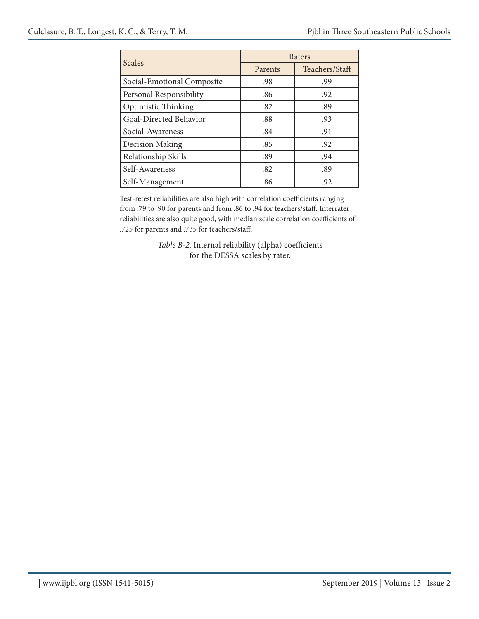| <b>Scales</b>              |         | Raters         |
|----------------------------|---------|----------------|
|                            | Parents | Teachers/Staff |
| Social-Emotional Composite | .98     | .99            |
| Personal Responsibility    | .86     | .92            |
| Optimistic Thinking        | .82     | .89            |
| Goal-Directed Behavior     | .88     | .93            |
| Social-Awareness           | .84     | .91            |
| Decision Making            | .85     | .92            |
| Relationship Skills        | .89     | .94            |
| Self-Awareness             | .82     | .89            |
| Self-Management            | .86     | .92            |

Test-retest reliabilities are also high with correlation coefficients ranging from .79 to .90 for parents and from .86 to .94 for teachers/staff. Interrater reliabilities are also quite good, with median scale correlation coefficients of .725 for parents and .735 for teachers/staff.

> *Table B-2.* Internal reliability (alpha) coefficients for the DESSA scales by rater.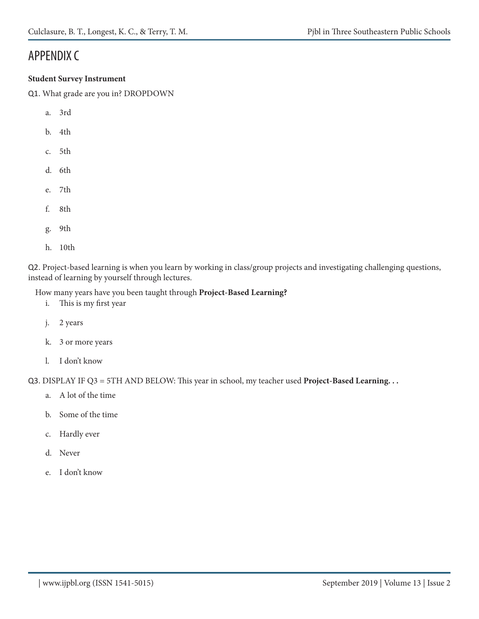### APPENDIX C

#### **Student Survey Instrument**

Q1. What grade are you in? DROPDOWN

- a. 3rd
- b. 4th
- c. 5th
- d. 6th
- e. 7th
- f. 8th
- g. 9th
- h. 10th

Q2. Project-based learning is when you learn by working in class/group projects and investigating challenging questions, instead of learning by yourself through lectures.

How many years have you been taught through **Project-Based Learning?**

- i. This is my first year
- j. 2 years
- k. 3 or more years
- l. I don't know

Q3. DISPLAY IF Q3 = 5TH AND BELOW: This year in school, my teacher used **Project-Based Learning. . .**

- a. A lot of the time
- b. Some of the time
- c. Hardly ever
- d. Never
- e. I don't know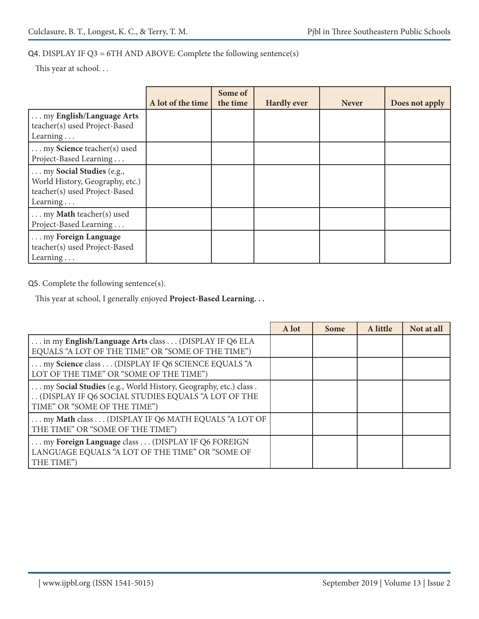### Q4. DISPLAY IF Q3 = 6TH AND ABOVE: Complete the following sentence(s)

This year at school. . .

|                                                                                                          |                   | Some of  |                    |              |                |
|----------------------------------------------------------------------------------------------------------|-------------------|----------|--------------------|--------------|----------------|
|                                                                                                          | A lot of the time | the time | <b>Hardly ever</b> | <b>Never</b> | Does not apply |
| my English/Language Arts<br>teacher(s) used Project-Based<br>Learning $\ldots$                           |                   |          |                    |              |                |
|                                                                                                          |                   |          |                    |              |                |
| my Science teacher(s) used<br>Project-Based Learning                                                     |                   |          |                    |              |                |
| my Social Studies (e.g.,<br>World History, Geography, etc.)<br>teacher(s) used Project-Based<br>Learning |                   |          |                    |              |                |
| my Math teacher(s) used<br>Project-Based Learning                                                        |                   |          |                    |              |                |
| my Foreign Language<br>teacher(s) used Project-Based<br>Learning                                         |                   |          |                    |              |                |

Q5. Complete the following sentence(s).

This year at school, I generally enjoyed **Project-Based Learning. . .**

|                                                                                                                                                       | A lot | <b>Some</b> | A little | Not at all |
|-------------------------------------------------------------------------------------------------------------------------------------------------------|-------|-------------|----------|------------|
| in my English/Language Arts class  (DISPLAY IF Q6 ELA<br>EQUALS "A LOT OF THE TIME" OR "SOME OF THE TIME")                                            |       |             |          |            |
| my Science class  (DISPLAY IF Q6 SCIENCE EQUALS "A<br>LOT OF THE TIME" OR "SOME OF THE TIME")                                                         |       |             |          |            |
| my Social Studies (e.g., World History, Geography, etc.) class.<br>(DISPLAY IF Q6 SOCIAL STUDIES EQUALS "A LOT OF THE<br>TIME" OR "SOME OF THE TIME") |       |             |          |            |
| my Math class  (DISPLAY IF Q6 MATH EQUALS "A LOT OF<br>THE TIME" OR "SOME OF THE TIME")                                                               |       |             |          |            |
| my Foreign Language class (DISPLAY IF Q6 FOREIGN<br>LANGUAGE EQUALS "A LOT OF THE TIME" OR "SOME OF<br>THE TIME")                                     |       |             |          |            |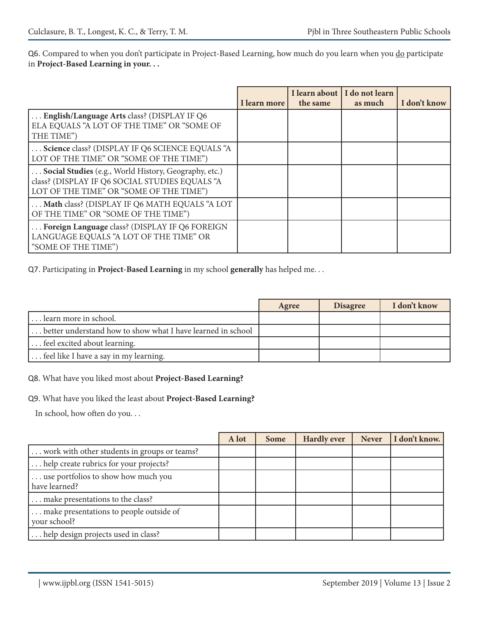Q6. Compared to when you don't participate in Project-Based Learning, how much do you learn when you do participate in **Project-Based Learning in your. . .**

|                                                                                                                                                    | I learn more | the same | I learn about   I do not learn<br>as much | I don't know |
|----------------------------------------------------------------------------------------------------------------------------------------------------|--------------|----------|-------------------------------------------|--------------|
| English/Language Arts class? (DISPLAY IF Q6<br>ELA EQUALS "A LOT OF THE TIME" OR "SOME OF<br>THE TIME")                                            |              |          |                                           |              |
| Science class? (DISPLAY IF Q6 SCIENCE EQUALS "A<br>LOT OF THE TIME" OR "SOME OF THE TIME")                                                         |              |          |                                           |              |
| Social Studies (e.g., World History, Geography, etc.)<br>class? (DISPLAY IF Q6 SOCIAL STUDIES EQUALS "A<br>LOT OF THE TIME" OR "SOME OF THE TIME") |              |          |                                           |              |
| Math class? (DISPLAY IF Q6 MATH EQUALS "A LOT<br>OF THE TIME" OR "SOME OF THE TIME")                                                               |              |          |                                           |              |
| Foreign Language class? (DISPLAY IF Q6 FOREIGN<br>LANGUAGE EQUALS "A LOT OF THE TIME" OR<br>"SOME OF THE TIME")                                    |              |          |                                           |              |

Q7. Participating in **Project-Based Learning** in my school **generally** has helped me. . .

|                                                             | Agree | <b>Disagree</b> | I don't know |
|-------------------------------------------------------------|-------|-----------------|--------------|
| learn more in school.                                       |       |                 |              |
| better understand how to show what I have learned in school |       |                 |              |
| feel excited about learning.                                |       |                 |              |
| feel like I have a say in my learning.                      |       |                 |              |

#### Q8. What have you liked most about **Project-Based Learning?**

#### Q9. What have you liked the least about **Project-Based Learning?**

In school, how often do you. . .

|                                                         | A lot | <b>Some</b> | <b>Hardly ever</b> | <b>Never</b> | I don't know. |
|---------------------------------------------------------|-------|-------------|--------------------|--------------|---------------|
| work with other students in groups or teams?            |       |             |                    |              |               |
| help create rubrics for your projects?                  |       |             |                    |              |               |
| use portfolios to show how much you<br>have learned?    |       |             |                    |              |               |
| make presentations to the class?                        |       |             |                    |              |               |
| make presentations to people outside of<br>your school? |       |             |                    |              |               |
| help design projects used in class?                     |       |             |                    |              |               |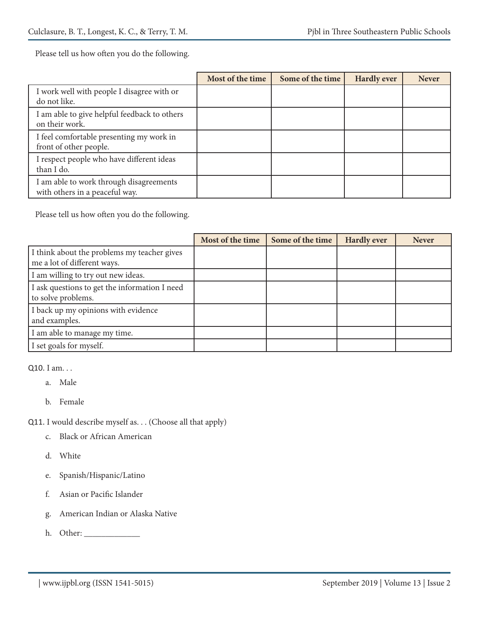Please tell us how often you do the following.

|                                                                           | Most of the time | Some of the time | <b>Hardly ever</b> | <b>Never</b> |
|---------------------------------------------------------------------------|------------------|------------------|--------------------|--------------|
| I work well with people I disagree with or<br>do not like.                |                  |                  |                    |              |
| I am able to give helpful feedback to others<br>on their work.            |                  |                  |                    |              |
| I feel comfortable presenting my work in<br>front of other people.        |                  |                  |                    |              |
| I respect people who have different ideas<br>than I do.                   |                  |                  |                    |              |
| I am able to work through disagreements<br>with others in a peaceful way. |                  |                  |                    |              |

Please tell us how often you do the following.

|                                                                            | Most of the time | Some of the time | <b>Hardly ever</b> | <b>Never</b> |
|----------------------------------------------------------------------------|------------------|------------------|--------------------|--------------|
| I think about the problems my teacher gives<br>me a lot of different ways. |                  |                  |                    |              |
| I am willing to try out new ideas.                                         |                  |                  |                    |              |
| I ask questions to get the information I need<br>to solve problems.        |                  |                  |                    |              |
| I back up my opinions with evidence<br>and examples.                       |                  |                  |                    |              |
| I am able to manage my time.                                               |                  |                  |                    |              |
| I set goals for myself.                                                    |                  |                  |                    |              |

Q10. I am. . .

- a. Male
- b. Female

Q11. I would describe myself as. . . (Choose all that apply)

- c. Black or African American
- d. White
- e. Spanish/Hispanic/Latino
- f. Asian or Pacific Islander
- g. American Indian or Alaska Native
- h. Other: \_\_\_\_\_\_\_\_\_\_\_\_\_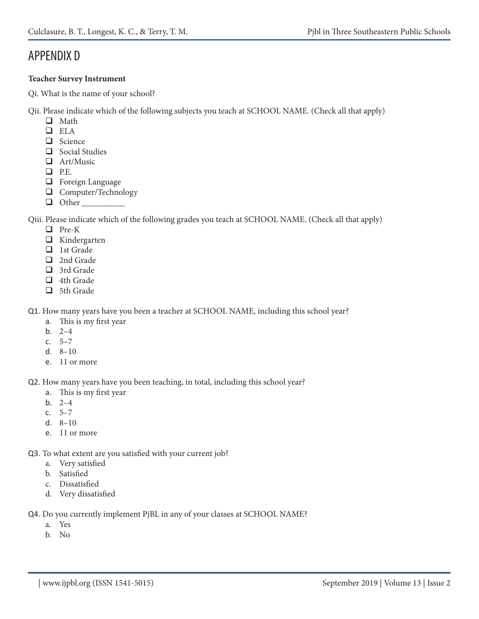### APPENDIX D

### **Teacher Survey Instrument**

Qi. What is the name of your school?

Qii. Please indicate which of the following subjects you teach at SCHOOL NAME. (Check all that apply)

- **Q** Math
- ELA
- Science
- $\Box$  Social Studies
- Art/Music
- $P.E.$
- $\Box$  Foreign Language
- **Q** Computer/Technology
- $\Box$  Other

Qiii. Please indicate which of the following grades you teach at SCHOOL NAME. (Check all that apply)

- □ Pre-K
- $\Box$  Kindergarten
- $\Box$  1st Grade
- □ 2nd Grade
- □ 3rd Grade
- □ 4th Grade
- $\Box$  5th Grade

Q1. How many years have you been a teacher at SCHOOL NAME, including this school year?

- a. This is my first year
- b. 2–4
- c.  $5-7$
- d. 8–10
- e. 11 or more

Q2. How many years have you been teaching, in total, including this school year?

- a. This is my first year
- b. 2–4
- c. 5–7
- d. 8–10
- e. 11 or more
- Q3. To what extent are you satisfied with your current job?
	- a. Very satisfied
	- b. Satisfied
	- c. Dissatisfied
	- d. Very dissatisfied

Q4. Do you currently implement PjBL in any of your classes at SCHOOL NAME?

- a. Yes
- b. No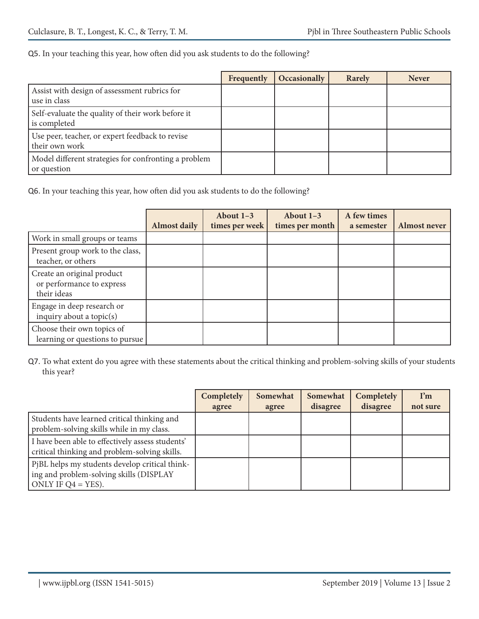#### Q5. In your teaching this year, how often did you ask students to do the following?

|                                                                     | Frequently | Occasionally | Rarely | <b>Never</b> |
|---------------------------------------------------------------------|------------|--------------|--------|--------------|
| Assist with design of assessment rubrics for<br>use in class        |            |              |        |              |
| Self-evaluate the quality of their work before it<br>is completed   |            |              |        |              |
| Use peer, teacher, or expert feedback to revise<br>their own work   |            |              |        |              |
| Model different strategies for confronting a problem<br>or question |            |              |        |              |

Q6. In your teaching this year, how often did you ask students to do the following?

|                                                                        |                     | About $1-3$    | About $1-3$     | A few times |                     |
|------------------------------------------------------------------------|---------------------|----------------|-----------------|-------------|---------------------|
|                                                                        | <b>Almost daily</b> | times per week | times per month | a semester  | <b>Almost never</b> |
| Work in small groups or teams                                          |                     |                |                 |             |                     |
| Present group work to the class,<br>teacher, or others                 |                     |                |                 |             |                     |
| Create an original product<br>or performance to express<br>their ideas |                     |                |                 |             |                     |
| Engage in deep research or<br>inquiry about a topic $(s)$              |                     |                |                 |             |                     |
| Choose their own topics of<br>learning or questions to pursue          |                     |                |                 |             |                     |

Q7. To what extent do you agree with these statements about the critical thinking and problem-solving skills of your students this year?

|                                                                                                                    | <b>Completely</b> | Somewhat | Somewhat | Completely | $\mathbf{I}^{\prime}\mathbf{m}$ |
|--------------------------------------------------------------------------------------------------------------------|-------------------|----------|----------|------------|---------------------------------|
|                                                                                                                    | agree             | agree    | disagree | disagree   | not sure                        |
| Students have learned critical thinking and<br>problem-solving skills while in my class.                           |                   |          |          |            |                                 |
| I have been able to effectively assess students'<br>critical thinking and problem-solving skills.                  |                   |          |          |            |                                 |
| PjBL helps my students develop critical think-<br>ing and problem-solving skills (DISPLAY<br>ONLY IF $Q4 = YES$ ). |                   |          |          |            |                                 |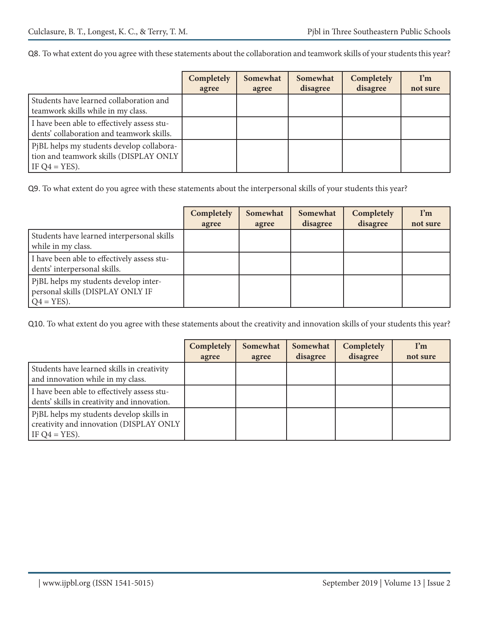Q8. To what extent do you agree with these statements about the collaboration and teamwork skills of your students this year?

|                                                                                                         | Completely<br>agree | Somewhat<br>agree | Somewhat<br>disagree | Completely<br>disagree | $\mathbf{I}^{\prime}$ m<br>not sure |
|---------------------------------------------------------------------------------------------------------|---------------------|-------------------|----------------------|------------------------|-------------------------------------|
| Students have learned collaboration and<br>teamwork skills while in my class.                           |                     |                   |                      |                        |                                     |
| I have been able to effectively assess stu-<br>dents' collaboration and teamwork skills.                |                     |                   |                      |                        |                                     |
| PjBL helps my students develop collabora-<br>tion and teamwork skills (DISPLAY ONLY<br>IF $Q4 = YES$ ). |                     |                   |                      |                        |                                     |

Q9. To what extent do you agree with these statements about the interpersonal skills of your students this year?

|                                                                                            | Completely<br>agree | Somewhat<br>agree | Somewhat<br>disagree | Completely<br>disagree | $\mathbf{I}^{\prime}\mathbf{m}$<br>not sure |
|--------------------------------------------------------------------------------------------|---------------------|-------------------|----------------------|------------------------|---------------------------------------------|
| Students have learned interpersonal skills<br>while in my class.                           |                     |                   |                      |                        |                                             |
| I have been able to effectively assess stu-<br>dents' interpersonal skills.                |                     |                   |                      |                        |                                             |
| PjBL helps my students develop inter-<br>personal skills (DISPLAY ONLY IF<br>$Q4 = YES$ ). |                     |                   |                      |                        |                                             |

Q10. To what extent do you agree with these statements about the creativity and innovation skills of your students this year?

|                                                                                                         | Completely<br>agree | Somewhat<br>agree | Somewhat<br>disagree | Completely<br>disagree | $\mathbf{I}^{\prime}$ m<br>not sure |
|---------------------------------------------------------------------------------------------------------|---------------------|-------------------|----------------------|------------------------|-------------------------------------|
| Students have learned skills in creativity<br>and innovation while in my class.                         |                     |                   |                      |                        |                                     |
| I have been able to effectively assess stu-<br>dents' skills in creativity and innovation.              |                     |                   |                      |                        |                                     |
| PjBL helps my students develop skills in<br>creativity and innovation (DISPLAY ONLY<br>IF $Q4 = YES$ ). |                     |                   |                      |                        |                                     |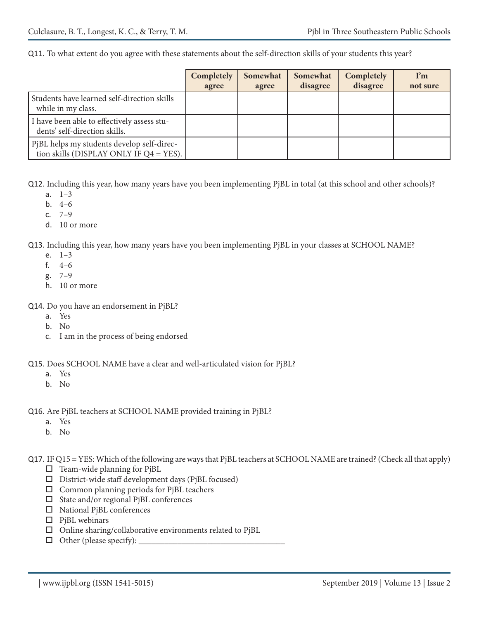Q11. To what extent do you agree with these statements about the self-direction skills of your students this year?

|                                                                                          | Completely<br>agree | Somewhat<br>agree | Somewhat<br>disagree | Completely<br>disagree | $\mathbf{I}^{\prime}\mathbf{m}$<br>not sure |
|------------------------------------------------------------------------------------------|---------------------|-------------------|----------------------|------------------------|---------------------------------------------|
| Students have learned self-direction skills<br>while in my class.                        |                     |                   |                      |                        |                                             |
| I have been able to effectively assess stu-<br>dents' self-direction skills.             |                     |                   |                      |                        |                                             |
| PjBL helps my students develop self-direc-<br>tion skills (DISPLAY ONLY IF $Q4 = YES$ ). |                     |                   |                      |                        |                                             |

Q12. Including this year, how many years have you been implementing PjBL in total (at this school and other schools)?

- a. 1–3
- b. 4–6
- c. 7–9
- d. 10 or more

Q13. Including this year, how many years have you been implementing PjBL in your classes at SCHOOL NAME?

- e. 1–3
- f. 4–6
- g. 7–9
- h. 10 or more
- Q14. Do you have an endorsement in PjBL?
	- a. Yes
	- b. No
	- c. I am in the process of being endorsed
- Q15. Does SCHOOL NAME have a clear and well-articulated vision for PjBL?
	- a. Yes
	- b. No
- Q16. Are PjBL teachers at SCHOOL NAME provided training in PjBL?
	- a. Yes
	- b. No
- Q17. IF Q15 = YES: Which of the following are ways that PjBL teachers at SCHOOL NAME are trained? (Check all that apply)
	- $\Box$  Team-wide planning for PjBL
	- $\square$  District-wide staff development days (PjBL focused)
	- Common planning periods for PjBL teachers
	- $\Box$  State and/or regional PjBL conferences
	- □ National PjBL conferences
	- $\Box$  PjBL webinars
	- $\Box$  Online sharing/collaborative environments related to PjBL
	- $\Box$  Other (please specify):  $\Box$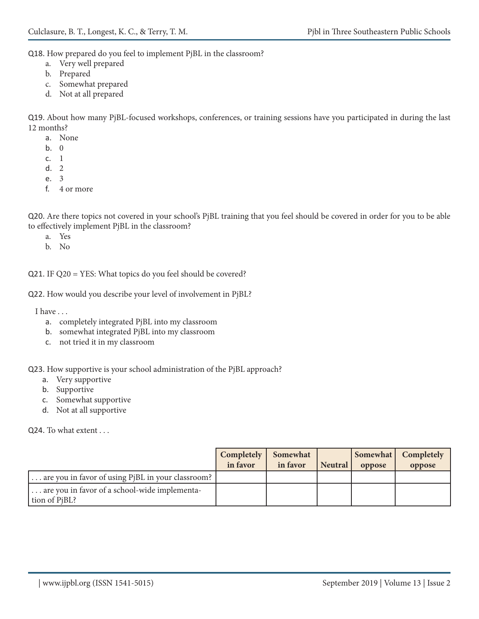Q18. How prepared do you feel to implement PjBL in the classroom?

- a. Very well prepared
- b. Prepared
- c. Somewhat prepared
- d. Not at all prepared

Q19. About how many PjBL-focused workshops, conferences, or training sessions have you participated in during the last 12 months?

- a. None
- b. 0
- c. 1
- d. 2
- e. 3
- f. 4 or more

Q20. Are there topics not covered in your school's PjBL training that you feel should be covered in order for you to be able to effectively implement PjBL in the classroom?

- a. Yes
- b. No

Q21. IF Q20 = YES: What topics do you feel should be covered?

Q22. How would you describe your level of involvement in PjBL?

I have . . .

- a. completely integrated PjBL into my classroom
- b. somewhat integrated PjBL into my classroom
- c. not tried it in my classroom

Q23. How supportive is your school administration of the PjBL approach?

- a. Very supportive
- b. Supportive
- c. Somewhat supportive
- d. Not at all supportive

Q24. To what extent . . .

|                                                                | Completely  <br>in favor | Somewhat<br>in favor | Neutral | Somewhat  <br>oppose | Completely<br>oppose |
|----------------------------------------------------------------|--------------------------|----------------------|---------|----------------------|----------------------|
| are you in favor of using PiBL in your classroom?              |                          |                      |         |                      |                      |
| are you in favor of a school-wide implementa-<br>tion of PiBL? |                          |                      |         |                      |                      |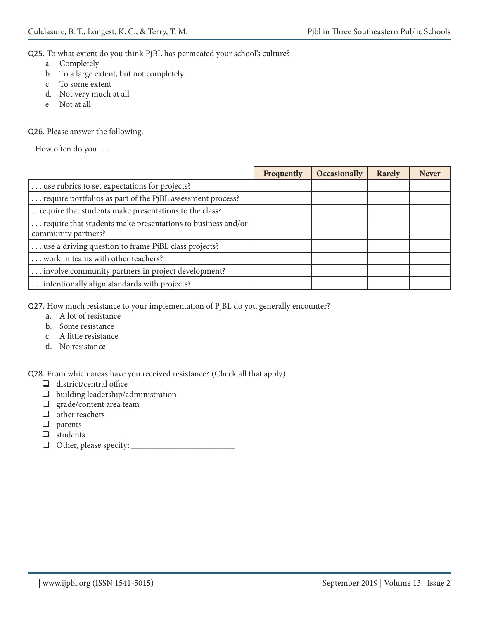Q25. To what extent do you think PjBL has permeated your school's culture?

- a. Completely
- b. To a large extent, but not completely
- c. To some extent
- d. Not very much at all
- e. Not at all

Q26. Please answer the following.

How often do you . . .

|                                                                                    | Frequently | Occasionally | Rarely | <b>Never</b> |
|------------------------------------------------------------------------------------|------------|--------------|--------|--------------|
| use rubrics to set expectations for projects?                                      |            |              |        |              |
| require portfolios as part of the PjBL assessment process?                         |            |              |        |              |
| require that students make presentations to the class?                             |            |              |        |              |
| require that students make presentations to business and/or<br>community partners? |            |              |        |              |
| use a driving question to frame PjBL class projects?                               |            |              |        |              |
| work in teams with other teachers?                                                 |            |              |        |              |
| involve community partners in project development?                                 |            |              |        |              |
| intentionally align standards with projects?                                       |            |              |        |              |

Q27. How much resistance to your implementation of PjBL do you generally encounter?

- a. A lot of resistance
- b. Some resistance
- c. A little resistance
- d. No resistance

Q28. From which areas have you received resistance? (Check all that apply)

- $\Box$  district/central office
- $\Box$  building leadership/administration
- $\Box$  grade/content area team
- $\Box$  other teachers
- $\Box$  parents
- □ students
- Other, please specify: \_\_\_\_\_\_\_\_\_\_\_\_\_\_\_\_\_\_\_\_\_\_\_\_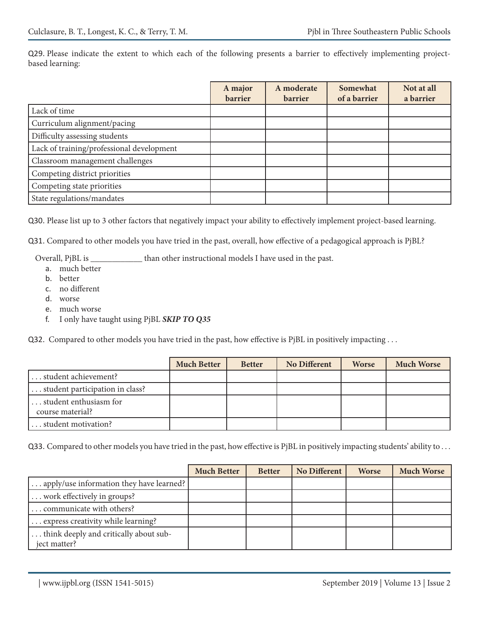Q29. Please indicate the extent to which each of the following presents a barrier to effectively implementing projectbased learning:

|                                           | A major<br><b>barrier</b> | A moderate<br><b>barrier</b> | Somewhat<br>of a barrier | Not at all<br>a barrier |
|-------------------------------------------|---------------------------|------------------------------|--------------------------|-------------------------|
| Lack of time                              |                           |                              |                          |                         |
| Curriculum alignment/pacing               |                           |                              |                          |                         |
| Difficulty assessing students             |                           |                              |                          |                         |
| Lack of training/professional development |                           |                              |                          |                         |
| Classroom management challenges           |                           |                              |                          |                         |
| Competing district priorities             |                           |                              |                          |                         |
| Competing state priorities                |                           |                              |                          |                         |
| State regulations/mandates                |                           |                              |                          |                         |

Q30. Please list up to 3 other factors that negatively impact your ability to effectively implement project-based learning.

Q31. Compared to other models you have tried in the past, overall, how effective of a pedagogical approach is PjBL?

Overall, PjBL is \_\_\_\_\_\_\_\_\_\_\_\_ than other instructional models I have used in the past.

- a. much better
- b. better
- c. no different
- d. worse
- e. much worse
- f. I only have taught using PjBL *SKIP TO Q35*

Q32. Compared to other models you have tried in the past, how effective is PjBL in positively impacting . . .

|                                            | <b>Much Better</b> | <b>Better</b> | <b>No Different</b> | <b>Worse</b> | <b>Much Worse</b> |
|--------------------------------------------|--------------------|---------------|---------------------|--------------|-------------------|
| student achievement?                       |                    |               |                     |              |                   |
| student participation in class?            |                    |               |                     |              |                   |
| student enthusiasm for<br>course material? |                    |               |                     |              |                   |
| student motivation?                        |                    |               |                     |              |                   |

Q33. Compared to other models you have tried in the past, how effective is PjBL in positively impacting students' ability to ...

|                                          | <b>Much Better</b> | <b>Better</b> | No Different | <b>Worse</b> | <b>Much Worse</b> |
|------------------------------------------|--------------------|---------------|--------------|--------------|-------------------|
| apply/use information they have learned? |                    |               |              |              |                   |
| work effectively in groups?              |                    |               |              |              |                   |
| communicate with others?                 |                    |               |              |              |                   |
| express creativity while learning?       |                    |               |              |              |                   |
| think deeply and critically about sub-   |                    |               |              |              |                   |
| iect matter?                             |                    |               |              |              |                   |